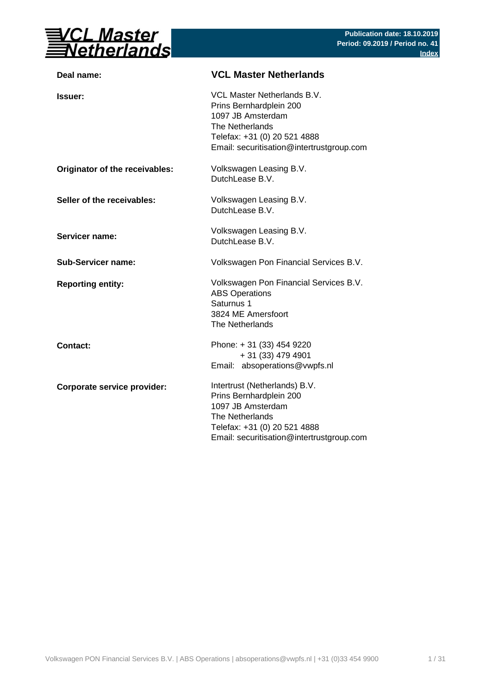

| <b>VCL Master Netherlands</b>                                                                                                                                                 |
|-------------------------------------------------------------------------------------------------------------------------------------------------------------------------------|
| VCL Master Netherlands B.V.<br>Prins Bernhardplein 200<br>1097 JB Amsterdam<br>The Netherlands<br>Telefax: +31 (0) 20 521 4888<br>Email: securitisation@intertrustgroup.com   |
| Volkswagen Leasing B.V.<br>DutchLease B.V.                                                                                                                                    |
| Volkswagen Leasing B.V.<br>DutchLease B.V.                                                                                                                                    |
| Volkswagen Leasing B.V.<br>DutchLease B.V.                                                                                                                                    |
| Volkswagen Pon Financial Services B.V.                                                                                                                                        |
| Volkswagen Pon Financial Services B.V.<br><b>ABS Operations</b><br>Saturnus 1<br>3824 ME Amersfoort<br>The Netherlands                                                        |
| Phone: +31 (33) 454 9220<br>+ 31 (33) 479 4901<br>Email: absoperations@vwpfs.nl                                                                                               |
| Intertrust (Netherlands) B.V.<br>Prins Bernhardplein 200<br>1097 JB Amsterdam<br>The Netherlands<br>Telefax: +31 (0) 20 521 4888<br>Email: securitisation@intertrustgroup.com |
|                                                                                                                                                                               |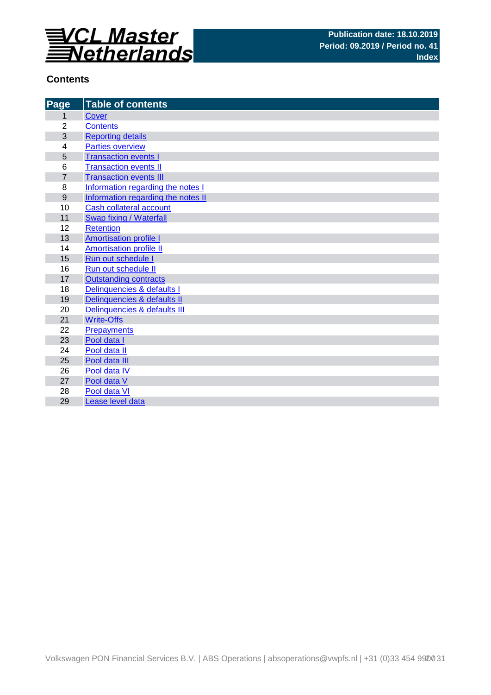

# **Contents**

| Page             | <b>Table of contents</b>           |
|------------------|------------------------------------|
| 1                | Cover                              |
| $\overline{2}$   | <b>Contents</b>                    |
| 3                | <b>Reporting details</b>           |
| 4                | <b>Parties overview</b>            |
| 5                | <b>Transaction events I</b>        |
| 6                | <b>Transaction events II</b>       |
| $\overline{7}$   | <b>Transaction events III</b>      |
| 8                | Information regarding the notes I  |
| $\boldsymbol{9}$ | Information regarding the notes II |
| 10               | Cash collateral account            |
| 11               | Swap fixing / Waterfall            |
| 12               | <b>Retention</b>                   |
| 13               | <b>Amortisation profile I</b>      |
| 14               | <b>Amortisation profile II</b>     |
| 15               | Run out schedule I                 |
| 16               | Run out schedule II                |
| 17               | <b>Outstanding contracts</b>       |
| 18               | Delinquencies & defaults I         |
| 19               | Delinquencies & defaults II        |
| 20               | Delinquencies & defaults III       |
| 21               | <b>Write-Offs</b>                  |
| 22               | <b>Prepayments</b>                 |
| 23               | Pool data I                        |
| 24               | Pool data II                       |
| 25               | Pool data III                      |
| 26               | Pool data IV                       |
| 27               | Pool data V                        |
| 28               | Pool data VI                       |
| 29               | Lease level data                   |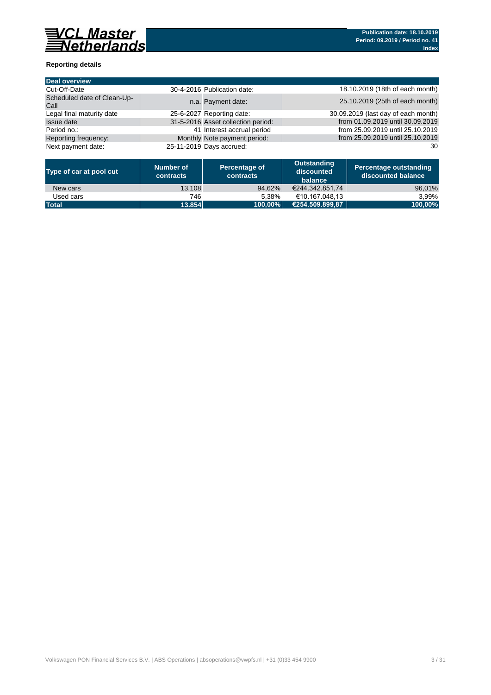

### **Reporting details**

| <b>Deal overview</b>                |                             |                                    |                                     |
|-------------------------------------|-----------------------------|------------------------------------|-------------------------------------|
| Cut-Off-Date                        | 30-4-2016 Publication date: |                                    | 18.10.2019 (18th of each month)     |
| Scheduled date of Clean-Up-<br>Call |                             | n.a. Payment date:                 | 25.10.2019 (25th of each month)     |
| Legal final maturity date           | 25-6-2027 Reporting date:   |                                    | 30.09.2019 (last day of each month) |
| <b>Issue date</b>                   |                             | 31-5-2016 Asset collection period: | from 01.09.2019 until 30.09.2019    |
| Period no.:                         |                             | 41 Interest accrual period         | from 25.09.2019 until 25.10.2019    |
| Reporting frequency:                |                             | Monthly Note payment period:       | from 25.09.2019 until 25.10.2019    |
| Next payment date:                  | 25-11-2019 Days accrued:    |                                    | 30                                  |

| Type of car at pool cut | Number of<br>contracts | Percentage of<br><b>contracts</b> | Outstanding<br>discounted<br>balance | Percentage outstanding<br>discounted balance |
|-------------------------|------------------------|-----------------------------------|--------------------------------------|----------------------------------------------|
| New cars                | 13.108                 | 94.62%                            | €244.342.851.74                      | 96,01%                                       |
| Used cars               | 746                    | 5.38%                             | €10.167.048.13                       | 3.99%                                        |
| <b>Total</b>            | 13.854                 | 100.00%                           | (€254.509.899.87                     | 100,00%                                      |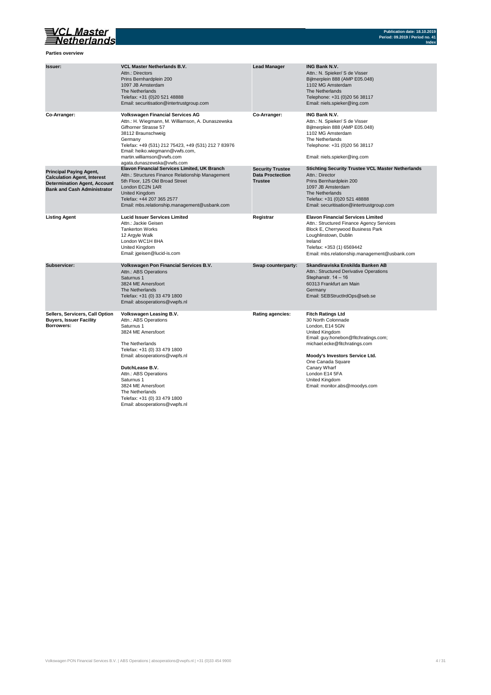

**Parties overview**

| Issuer:                                                                                                                                           | <b>VCL Master Netherlands B.V.</b><br>Attn.: Directors<br>Prins Bernhardplein 200<br>1097 JB Amsterdam<br>The Netherlands<br>Telefax: +31 (0)20 521 48888<br>Email: securitisation@intertrustgroup.com                                                                                                                                       | <b>Lead Manager</b>                                                  | <b>ING Bank N.V.</b><br>Attn.: N. Spieker/ S de Visser<br>Bijlmerplein 888 (AMP E05.048)<br>1102 MG Amsterdam<br>The Netherlands<br>Telephone: +31 (0)20 56 38117<br>Email: niels.spieker@ing.com                                                                                                        |
|---------------------------------------------------------------------------------------------------------------------------------------------------|----------------------------------------------------------------------------------------------------------------------------------------------------------------------------------------------------------------------------------------------------------------------------------------------------------------------------------------------|----------------------------------------------------------------------|----------------------------------------------------------------------------------------------------------------------------------------------------------------------------------------------------------------------------------------------------------------------------------------------------------|
| Co-Arranger:                                                                                                                                      | <b>Volkswagen Financial Services AG</b><br>Attn.: H. Wiegmann, M. Williamson, A. Dunaszewska<br>Gifhorner Strasse 57<br>38112 Braunschweig<br>Germany<br>Telefax: +49 (531) 212 75423, +49 (531) 212 7 83976<br>Email: heiko.wiegmann@vwfs.com,<br>martin.williamson@vwfs.com<br>agata.dunaszewska@vwfs.com                                  | Co-Arranger:                                                         | <b>ING Bank N.V.</b><br>Attn.: N. Spieker/ S de Visser<br>Bijlmerplein 888 (AMP E05.048)<br>1102 MG Amsterdam<br>The Netherlands<br>Telephone: +31 (0)20 56 38117<br>Email: niels.spieker@ing.com                                                                                                        |
| <b>Principal Paying Agent,</b><br><b>Calculation Agent, Interest</b><br><b>Determination Agent, Account</b><br><b>Bank and Cash Administrator</b> | Elavon Financial Services Limited, UK Branch<br>Attn.: Structures Finance Relationship Management<br>5th Floor, 125 Old Broad Street<br>London EC2N 1AR<br><b>United Kingdom</b><br>Telefax: +44 207 365 2577<br>Email: mbs.relationship.management@usbank.com                                                                               | <b>Security Trustee</b><br><b>Data Proctection</b><br><b>Trustee</b> | <b>Stichting Security Trustee VCL Master Netherlands</b><br>Attn.: Director<br>Prins Bernhardplein 200<br>1097 JB Amsterdam<br>The Netherlands<br>Telefax: +31 (0)20 521 48888<br>Email: securitisation@intertrustgroup.com                                                                              |
| <b>Listing Agent</b>                                                                                                                              | <b>Lucid Issuer Services Limited</b><br>Attn.: Jackie Geisen<br><b>Tankerton Works</b><br>12 Argyle Walk<br>London WC1H 8HA<br>United Kingdom<br>Email: jgeisen@lucid-is.com                                                                                                                                                                 | Registrar                                                            | <b>Elavon Financial Services Limited</b><br>Attn.: Structured Finance Agency Services<br>Block E, Cherrywood Business Park<br>Loughlinstown, Dublin<br>Ireland<br>Telefax: +353 (1) 6569442<br>Email: mbs.relationship.management@usbank.com                                                             |
| Subservicer:                                                                                                                                      | Volkswagen Pon Financial Services B.V.<br>Attn.: ABS Operations<br>Saturnus 1<br>3824 ME Amersfoort<br>The Netherlands<br>Telefax: +31 (0) 33 479 1800<br>Email: absoperations@vwpfs.nl                                                                                                                                                      | Swap counterparty:                                                   | Skandinaviska Enskilda Banken AB<br>Attn.: Structured Derivative Operations<br>Stephanstr. 14 - 16<br>60313 Frankfurt am Main<br>Germany<br>Email: SEBStructIrdOps@seb.se                                                                                                                                |
| Sellers, Servicers, Call Option<br><b>Buyers, Issuer Facility</b><br>Borrowers:                                                                   | Volkswagen Leasing B.V.<br>Attn.: ABS Operations<br>Saturnus 1<br>3824 ME Amersfoort<br>The Netherlands<br>Telefax: +31 (0) 33 479 1800<br>Email: absoperations@vwpfs.nl<br>DutchLease B.V.<br>Attn.: ABS Operations<br>Saturnus 1<br>3824 ME Amersfoort<br>The Netherlands<br>Telefax: +31 (0) 33 479 1800<br>Email: absoperations@vwpfs.nl | <b>Rating agencies:</b>                                              | <b>Fitch Ratings Ltd</b><br>30 North Colonnade<br>London, E14 5GN<br>United Kingdom<br>Email: guy.honebon@fitchratings.com;<br>michael.ecke@fitchratings.com<br>Moody's Investors Service Ltd.<br>One Canada Square<br>Canary Wharf<br>London E14 5FA<br>United Kingdom<br>Email: monitor.abs@moodys.com |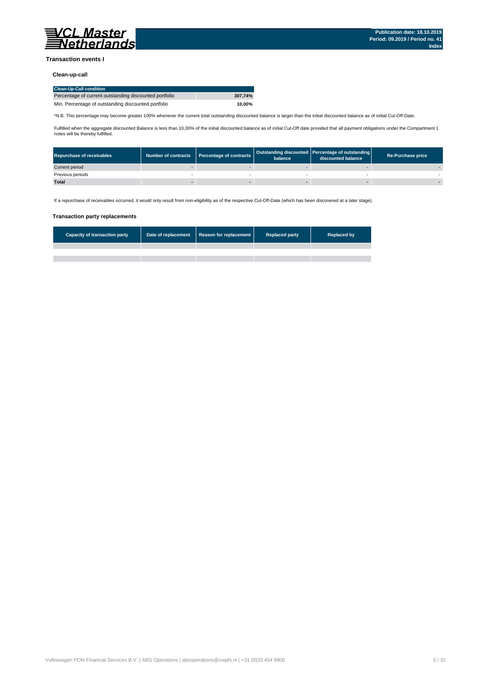

#### **Transaction events I**

### **Clean-up-call**

| <b>Clean-Up-Call condition</b>                         |         |
|--------------------------------------------------------|---------|
| Percentage of current outstanding discounted portfolio | 307.74% |
| Min. Percentage of outstanding discounted portfolio    | 10.00%  |

\*N.B. This percentage may become greater 100% whenever the current total outstanding discounted balance is larger than the initial discounted balance as of initial Cut-Off-Date.

Fulfilled when the aggregate discounted Balance is less than 10,00% of the initial discounted balance as of initial Cut-Off date provided that all payment obligations under the Compartment 1 notes will be thereby fulfilled.

| <b>Repurchase of receivables</b> | Number of contracts   Percentage of contracts | balance | Outstanding discounted Percentage of outstanding<br>discounted balance | <b>Re-Purchase price</b> |
|----------------------------------|-----------------------------------------------|---------|------------------------------------------------------------------------|--------------------------|
| Current period                   |                                               |         |                                                                        |                          |
| Previous periods                 |                                               |         |                                                                        |                          |
| <b>Total</b>                     |                                               |         |                                                                        |                          |

If a repurchase of receivables occurred, it would only result from non-eligibility as of the respective Cut-Off-Date (which has been discovered at a later stage).

#### **Transaction party replacements**

| <b>Capacity of transaction party</b> | Date of replacement   Reason for replacement | <b>Replaced party</b> | <b>Replaced by</b> |
|--------------------------------------|----------------------------------------------|-----------------------|--------------------|
|                                      |                                              |                       |                    |
|                                      |                                              |                       |                    |
|                                      |                                              |                       |                    |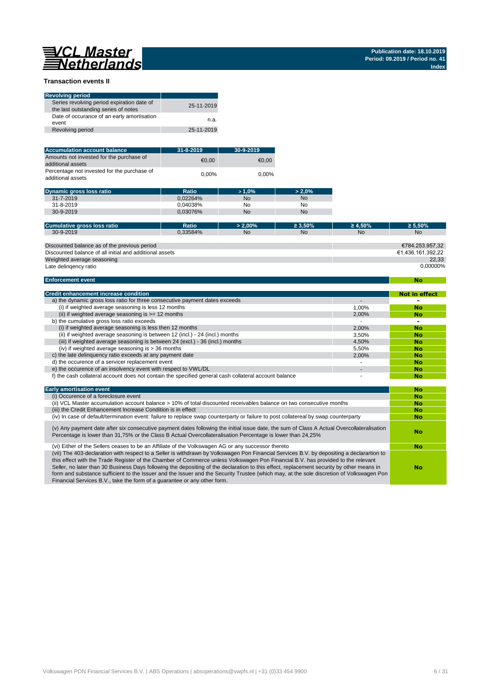**No**

#### **Transaction events II**

| <b>Revolving period</b>                                                            |            |
|------------------------------------------------------------------------------------|------------|
| Series revolving period expiration date of<br>the last outstanding series of notes | 25-11-2019 |
| Date of occurance of an early amortisation<br>event                                | n.a.       |
| Revolving period                                                                   | 25-11-2019 |

| <b>Accumulation account balance</b>                              | $31 - 8 - 2019$ | 30-9-2019 |
|------------------------------------------------------------------|-----------------|-----------|
| Amounts not invested for the purchase of<br>additional assets    | €0.00           | €0.00     |
| Percentage not invested for the purchase of<br>additional assets | $0.00\%$        | $0.00\%$  |

| <b>Dynamic gross loss ratio</b> | Ratio    | $>1.0\%$  | $> 2.0\%$ |
|---------------------------------|----------|-----------|-----------|
| $31 - 7 - 2019$                 | 0.02264% | <b>No</b> | <b>No</b> |
| $31 - 8 - 2019$                 | 0.04038% | No        | No        |
| 30-9-2019                       | 0.03076% | <b>No</b> | No        |

| Cumulative gross loss ratio                             | Ratio    | $> 2.00\%$ | $\geq 3.50\%$ | $\geq 4.50\%$ | $\geq 5.50\%$     |
|---------------------------------------------------------|----------|------------|---------------|---------------|-------------------|
| 30-9-2019                                               | 0.33584% | <b>No</b>  | No            | <b>No</b>     | <b>No</b>         |
|                                                         |          |            |               |               |                   |
| Discounted balance as of the previous period            |          |            |               |               | €784.253.957.32   |
| Discounted balance of all initial and additional assets |          |            |               |               | €1.436.161.392.22 |
| Weighted average seasoning                              |          |            |               |               | 22.33             |
| Late delingency ratio                                   |          |            |               |               | 0.00000%          |

#### **Enforcement event**

| <b>Credit enhancement increase condition</b>                                                          |       | <b>Not in effect</b> |
|-------------------------------------------------------------------------------------------------------|-------|----------------------|
| a) the dynamic gross loss ratio for three consecutive payment dates exceeds                           |       |                      |
| (i) if weighted average seasoning is less 12 months                                                   | 1.00% | No                   |
| (ii) if weighted average seasoning is $>= 12$ months                                                  | 2.00% | No                   |
| b) the cumulative gross loss ratio exceeds                                                            |       | -                    |
| (i) if weighted average seasoning is less then 12 months                                              | 2.00% | <b>No</b>            |
| (ii) if weighted average seasoning is between 12 (incl.) - 24 (incl.) months                          | 3.50% | No                   |
| (iii) if weighted average seasoning is between 24 (excl.) - 36 (incl.) months                         | 4.50% | <b>No</b>            |
| (iv) if weighted average seasoning is $>$ 36 months                                                   | 5.50% | No                   |
| c) the late delinguency ratio exceeds at any payment date                                             | 2.00% | No                   |
| d) the occurence of a servicer replacement event                                                      |       | No                   |
| e) the occurence of an insolvency event with respect to VWL/DL                                        |       | No                   |
| f) the cash collateral account does not contain the specified general cash collateral account balance |       | No                   |

| <b>Early amortisation event</b>                                                                                                                                                                                                                                                                                                                                                                                                                                                                                                                                                                                                                    | No |
|----------------------------------------------------------------------------------------------------------------------------------------------------------------------------------------------------------------------------------------------------------------------------------------------------------------------------------------------------------------------------------------------------------------------------------------------------------------------------------------------------------------------------------------------------------------------------------------------------------------------------------------------------|----|
| (i) Occurence of a foreclosure event                                                                                                                                                                                                                                                                                                                                                                                                                                                                                                                                                                                                               | No |
| (ii) VCL Master accumulation account balance > 10% of total discounted receivables balance on two consecutive months                                                                                                                                                                                                                                                                                                                                                                                                                                                                                                                               | No |
| (iii) the Credit Enhancement Increase Condition is in effect                                                                                                                                                                                                                                                                                                                                                                                                                                                                                                                                                                                       | No |
| (iv) In case of default/termination event: failure to replace swap counterparty or failure to post collatereal by swap counterparty                                                                                                                                                                                                                                                                                                                                                                                                                                                                                                                | No |
| (v) Any payment date after six consecutive payment dates following the initial issue date, the sum of Class A Actual Overcollateralisation<br>Percentage is lower than 31,75% or the Class B Actual Overcollateralisation Percentage is lower than 24,25%                                                                                                                                                                                                                                                                                                                                                                                          | No |
| (vi) Either of the Sellers ceases to be an Affiliate of the Volkswagen AG or any successor thereto                                                                                                                                                                                                                                                                                                                                                                                                                                                                                                                                                 | No |
| (vii) The 403-declaration with respect to a Seller is withdrawn by Volkswagen Pon Financial Services B.V. by depositing a declarartion to<br>this effect with the Trade Register of the Chamber of Commerce unless Volkswagen Pon Financial B.V. has provided to the relevant<br>Seller, no later than 30 Business Days following the depositing of the declaration to this effect, replacement security by other means in<br>form and substance sufficient to the Issuer and the Issuer and the Security Trustee (which may, at the sole discretion of Volkswagen Pon<br>Financial Services B.V., take the form of a quarantee or any other form. | No |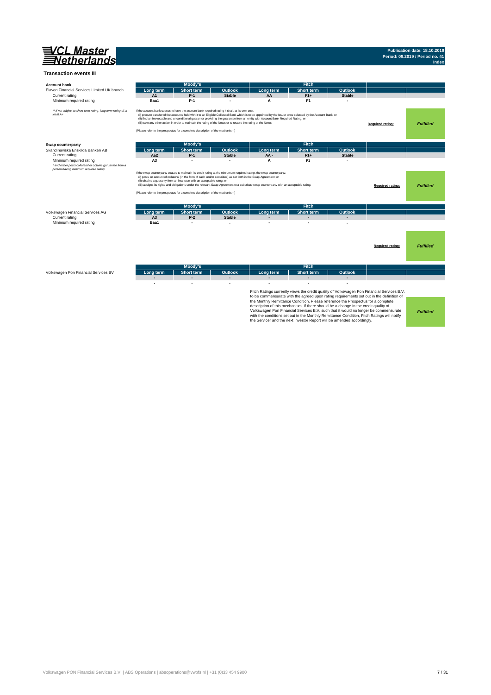

# **Publication date: 18.10.2019 Period: 09.2019 / Period no. 41 Index**

| <b>Account bank</b>                                                        |                | Moody's                                                                                                                                                                                                                                                                                           |                |                                                                                                                                                                                                                                                                                                    | <b>Fitch</b>                                                                                                                                                                                                                                                                                                                                    |                |                                                                                                                                                                                                                                                                               |                  |
|----------------------------------------------------------------------------|----------------|---------------------------------------------------------------------------------------------------------------------------------------------------------------------------------------------------------------------------------------------------------------------------------------------------|----------------|----------------------------------------------------------------------------------------------------------------------------------------------------------------------------------------------------------------------------------------------------------------------------------------------------|-------------------------------------------------------------------------------------------------------------------------------------------------------------------------------------------------------------------------------------------------------------------------------------------------------------------------------------------------|----------------|-------------------------------------------------------------------------------------------------------------------------------------------------------------------------------------------------------------------------------------------------------------------------------|------------------|
| Elavon Financial Services Limited UK branch                                | Lona term      | <b>Short term</b>                                                                                                                                                                                                                                                                                 | <b>Outlook</b> | Long term                                                                                                                                                                                                                                                                                          | <b>Short term</b>                                                                                                                                                                                                                                                                                                                               | Outlook        |                                                                                                                                                                                                                                                                               |                  |
| Current rating                                                             | A1             | $P-1$                                                                                                                                                                                                                                                                                             | <b>Stable</b>  | AA                                                                                                                                                                                                                                                                                                 | $F1+$                                                                                                                                                                                                                                                                                                                                           | <b>Stable</b>  |                                                                                                                                                                                                                                                                               |                  |
| Minimum required rating                                                    | Baa1           | $P-1$                                                                                                                                                                                                                                                                                             |                | A                                                                                                                                                                                                                                                                                                  | F <sub>1</sub>                                                                                                                                                                                                                                                                                                                                  |                |                                                                                                                                                                                                                                                                               |                  |
| ** if not subject to short-term rating, long term rating of at<br>least A+ |                | If the account bank ceases to have the account bank required rating it shall, at its own cost,<br>(iii) take any other action in order to maintain the rating of the Notes or to restore the rating of the Notes.<br>(Please refer to the prospectus for a complete description of the mechanism) |                | (i) procure transfer of the accounts held with it to an Eligible Collateral Bank which is to be appointed by the Issuer once selected by the Account Bank, or<br>(ii) find an irrevocable and unconditional guarantor providing the guarantee from an entity with Account Bank Required Rating, or |                                                                                                                                                                                                                                                                                                                                                 |                | Required rating:                                                                                                                                                                                                                                                              | <b>Fulfilled</b> |
| Swap counterparty                                                          |                | Moody's                                                                                                                                                                                                                                                                                           |                |                                                                                                                                                                                                                                                                                                    | <b>Fitch</b>                                                                                                                                                                                                                                                                                                                                    |                |                                                                                                                                                                                                                                                                               |                  |
| Skandinaviska Enskilda Banken AB                                           | Long term      | <b>Short term</b>                                                                                                                                                                                                                                                                                 | Outlook        | Long term                                                                                                                                                                                                                                                                                          | <b>Short term</b>                                                                                                                                                                                                                                                                                                                               | Outlook        |                                                                                                                                                                                                                                                                               |                  |
| Current rating                                                             | Aa2            | $P-1$                                                                                                                                                                                                                                                                                             | <b>Stable</b>  | AA-                                                                                                                                                                                                                                                                                                | $F1+$                                                                                                                                                                                                                                                                                                                                           | <b>Stable</b>  |                                                                                                                                                                                                                                                                               |                  |
| Minimum required rating                                                    | A <sub>3</sub> |                                                                                                                                                                                                                                                                                                   |                | A                                                                                                                                                                                                                                                                                                  | F <sub>1</sub>                                                                                                                                                                                                                                                                                                                                  |                |                                                                                                                                                                                                                                                                               |                  |
| * and either posts collateral or obtains garuantee from a                  |                |                                                                                                                                                                                                                                                                                                   |                |                                                                                                                                                                                                                                                                                                    |                                                                                                                                                                                                                                                                                                                                                 |                |                                                                                                                                                                                                                                                                               |                  |
|                                                                            |                | (i) posts an amount of collateral (in the form of cash and/or securities) as set forth in the Swap Agreement; or<br>(ii) obtains a guaranty from an instituton with an acceptable ratng; or<br>(Please refer to the prospectus for a complete description of the mechanism)                       |                | If the swap counterparty ceases to maintain its credit rating at the miniumum required rating, the swap counterparty:<br>(iii) assigns its rights and obligations under the relevant Swap Agreement to a substitute swap counterparty with an acceptable rating.                                   |                                                                                                                                                                                                                                                                                                                                                 |                | <b>Required rating:</b>                                                                                                                                                                                                                                                       | <b>Fulfilled</b> |
|                                                                            |                | Moody's                                                                                                                                                                                                                                                                                           |                |                                                                                                                                                                                                                                                                                                    | <b>Fitch</b>                                                                                                                                                                                                                                                                                                                                    |                |                                                                                                                                                                                                                                                                               |                  |
| Volkswagen Financial Services AG                                           | Long term      | <b>Short term</b>                                                                                                                                                                                                                                                                                 | <b>Outlook</b> | Long term                                                                                                                                                                                                                                                                                          | <b>Short term</b>                                                                                                                                                                                                                                                                                                                               | <b>Outlook</b> |                                                                                                                                                                                                                                                                               |                  |
| Current rating                                                             | A <sub>3</sub> | $P-2$                                                                                                                                                                                                                                                                                             | <b>Stable</b>  |                                                                                                                                                                                                                                                                                                    |                                                                                                                                                                                                                                                                                                                                                 |                |                                                                                                                                                                                                                                                                               |                  |
| Minimum required rating                                                    | Baa1           | J.                                                                                                                                                                                                                                                                                                |                |                                                                                                                                                                                                                                                                                                    |                                                                                                                                                                                                                                                                                                                                                 |                |                                                                                                                                                                                                                                                                               |                  |
|                                                                            |                |                                                                                                                                                                                                                                                                                                   |                |                                                                                                                                                                                                                                                                                                    |                                                                                                                                                                                                                                                                                                                                                 |                | Required rating:                                                                                                                                                                                                                                                              | <b>Fulfilled</b> |
|                                                                            |                | Moody's                                                                                                                                                                                                                                                                                           |                |                                                                                                                                                                                                                                                                                                    | Fitch                                                                                                                                                                                                                                                                                                                                           |                |                                                                                                                                                                                                                                                                               |                  |
| Volkswagen Pon Financial Services BV                                       | Long term      | <b>Short term</b>                                                                                                                                                                                                                                                                                 | Outlook        | Long term                                                                                                                                                                                                                                                                                          | <b>Short term</b>                                                                                                                                                                                                                                                                                                                               | Outlook        |                                                                                                                                                                                                                                                                               |                  |
|                                                                            |                | ٠                                                                                                                                                                                                                                                                                                 |                |                                                                                                                                                                                                                                                                                                    |                                                                                                                                                                                                                                                                                                                                                 |                |                                                                                                                                                                                                                                                                               |                  |
|                                                                            |                |                                                                                                                                                                                                                                                                                                   |                |                                                                                                                                                                                                                                                                                                    | the Monthly Remittance Condition. Please reference the Prospectus for a complete<br>description of this mechanism. If there should be a change in the credit quality of<br>with the conditions set out in the Monthly Remittance Condition, Fitch Ratings will notify<br>the Servicer and the next Investor Report will be amended accordingly. |                | Fitch Ratings currently views the credit quality of Volkswagen Pon Financial Services B.V.<br>to be commensurate with the agreed upon rating requirements set out in the definition of<br>Volkswagen Pon Financial Services B.V. such that it would no longer be commensurate | <b>Fulfilled</b> |

Volkswagen PON Financial Services B.V. | ABS Operations | absoperations@vwpfs.nl | +31 (0)33 454 9900 7 / 31 / 31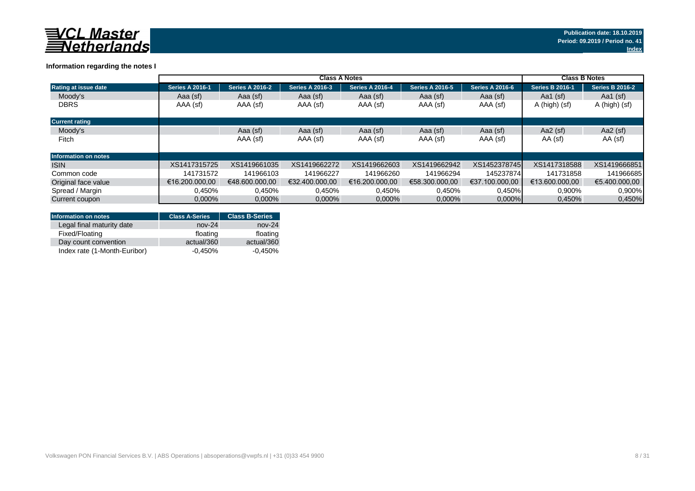

### **Information regarding the notes I**

|                             | <b>Class A Notes</b>   |                        |                        |                        |                        |                        | <b>Class B Notes</b>   |                        |
|-----------------------------|------------------------|------------------------|------------------------|------------------------|------------------------|------------------------|------------------------|------------------------|
| Rating at issue date        | <b>Series A 2016-1</b> | <b>Series A 2016-2</b> | <b>Series A 2016-3</b> | <b>Series A 2016-4</b> | <b>Series A 2016-5</b> | <b>Series A 2016-6</b> | <b>Series B 2016-1</b> | <b>Series B 2016-2</b> |
| Moody's                     | Aaa (sf)               | Aaa (sf)               | Aaa (sf)               | Aaa (sf)               | Aaa (sf)               | Aaa (sf)               | Aa1 $(sf)$             | Aa1 $(sf)$             |
| <b>DBRS</b>                 | AAA (sf)               | AAA (sf)               | AAA (sf)               | AAA (sf)               | AAA (sf)               | AAA (sf)               | A (high) (sf)          | A (high) (sf)          |
| <b>Current rating</b>       |                        |                        |                        |                        |                        |                        |                        |                        |
| Moody's                     |                        | Aaa (sf)               | Aaa (sf)               | Aaa (sf)               | Aaa (sf)               | Aaa (sf)               | Aa2 $(sf)$             | Aa2 $(sf)$             |
| Fitch                       |                        | AAA (sf)               | AAA (sf)               | AAA (sf)               | AAA (sf)               | AAA (sf)               | AA (sf)                | AA (sf)                |
| <b>Information on notes</b> |                        |                        |                        |                        |                        |                        |                        |                        |
| <b>ISIN</b>                 | XS1417315725           | XS1419661035           | XS1419662272           | XS1419662603           | XS1419662942           | XS1452378745           | XS1417318588           | XS1419666851           |
| Common code                 | 141731572              | 141966103              | 141966227              | 141966260              | 141966294              | 145237874              | 141731858              | 141966685              |
| Original face value         | €16.200.000.00         | €48,600,000,00         | €32.400.000.00         | €16.200.000.00         | €58.300.000.00         | €37.100.000.00         | €13.600.000.00         | €5.400.000.00          |
| Spread / Margin             | 0.450%                 | 0,450%                 | 0.450%                 | 0.450%                 | 0.450%                 | 0,450%                 | 0,900%                 | 0,900%                 |
| Current coupon              | $0.000\%$              | 0,000%                 | $0,000\%$              | 0,000%                 | 0,000%                 | $0,000\%$              | 0.450%                 | 0,450%                 |

| <b>Information on notes</b>  | <b>Class A-Series</b> | <b>Class B-Series</b> |
|------------------------------|-----------------------|-----------------------|
| Legal final maturity date    | $nov-24$              | $nov-24$              |
| Fixed/Floating               | floating              | floating              |
| Day count convention         | actual/360            | actual/360            |
| Index rate (1-Month-Euribor) | $-0.450\%$            | $-0.450%$             |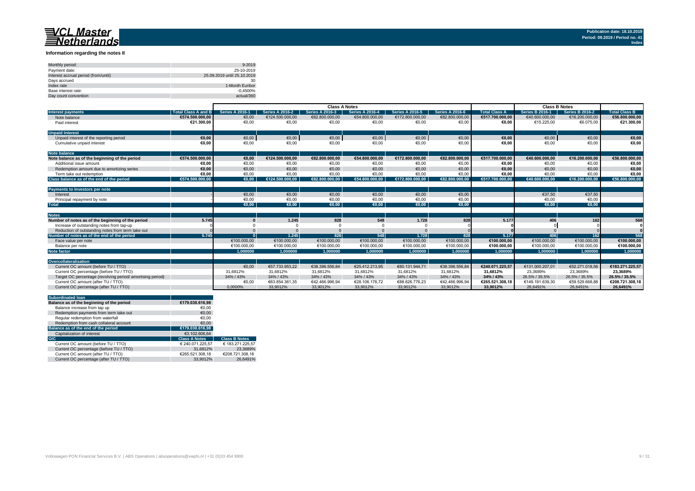#### **Information regarding the notes II**

| Monthly period:                      | 9-2019                      |
|--------------------------------------|-----------------------------|
| Payment date:                        | 25-10-2019                  |
| Interest accrual period (from/until) | 25.09.2019 until 25.10.2019 |
| Davs accrued                         | 30                          |
| Index rate                           | 1-Month Euribor             |
| Base interest rate:                  | $-0.4500%$                  |
| Day count convention                 | actual/360                  |

|                                                           |                            | <b>Class A Notes</b>   |                        |                        |                        |                        | <b>Class B Notes</b>   |                      |                        |                        |                      |
|-----------------------------------------------------------|----------------------------|------------------------|------------------------|------------------------|------------------------|------------------------|------------------------|----------------------|------------------------|------------------------|----------------------|
| <b>Interest payments</b>                                  | <b>Total Class A and B</b> | <b>Series A 2016-1</b> | <b>Series A 2016-2</b> | <b>Series A 2016-3</b> | <b>Series A 2016-4</b> | <b>Series A 2016-5</b> | <b>Series A 2016-6</b> | <b>Total Class A</b> | <b>Series B 2016-1</b> | <b>Series B 2016-2</b> | <b>Total Class B</b> |
| Note balance                                              | €574.500.000.00            | €0,00                  | €124.500.000,00        | €82.800.000,00         | €54.800.000,00         | €172.800.000,00        | €82.800.000,00         | €517.700.000.00      | €40.600.000,00         | €16.200.000,00         | €56.800.000,00       |
| Paid interest                                             | €21.300.00                 | €0,00                  | €0,00                  | €0,00                  | €0,00                  | €0,00                  | €0,00                  | €0.00                | €15.225,00             | €6.075.00              | €21.300,00           |
| <b>Unpaid Interest</b>                                    |                            |                        |                        |                        |                        |                        |                        |                      |                        |                        |                      |
| Unpaid interest of the reporting period                   | €0.00                      | €0,00                  | €0,00                  | €0,00                  | €0,00                  | €0,00                  | €0,00                  | €0,00                | €0,00                  | €0,00                  | €0,00                |
| Cumulative unpaid interest                                | €0.00                      | €0,00                  | €0,00                  | €0,00                  | €0,00                  | €0,00                  | €0,00                  | €0,00                | €0,00                  | €0,00                  | €0,00                |
| <b>Note balance</b>                                       |                            |                        |                        |                        |                        |                        |                        |                      |                        |                        |                      |
| Note balance as of the beginning of the period            | €574.500.000.00            | €0.00                  | €124.500.000.00        | €82.800.000.00         | €54.800.000.00         | €172.800.000.00        | €82.800.000.00         | €517.700.000.00      | €40.600.000.00         | €16.200.000,00         | €56.800.000.00       |
| Additional issue amount                                   | €0.00                      | €0.00                  | €0,00                  | €0,00                  | €0.00                  | €0,00                  | €0,00                  | €0,00                | €0.00                  | €0,00                  | €0,00                |
| Redemotion amount due to amortizing series                | €0.00                      | €0.00                  | €0.00                  | €0,00                  | €0.00                  | €0.00                  | €0,00                  | €0.00                | €0.00                  | €0.00                  | €0,00                |
| Term take out redemption                                  | €0.00                      | €0.00                  | €0.00                  | €0.00                  | €0.00                  | €0.00                  | €0,00                  | €0,00                | €0.00                  | €0,00                  | €0,00                |
| Class balance as of the end of the period                 | €574.500.000.00            | €0.00                  | €124.500.000.00        | €82.800.000.00         | €54.800.000.00         | €172.800.000.00        | €82.800.000.00         | €517.700.000.00      | €40.600.000.00         | €16.200.000.00         | €56.800.000.00       |
|                                                           |                            |                        |                        |                        |                        |                        |                        |                      |                        |                        |                      |
| Payments to Investors per note                            |                            |                        |                        |                        |                        |                        |                        |                      |                        |                        |                      |
| Interest                                                  |                            | €0.00                  | €0,00                  | €0,00                  | €0.00                  | €0.00                  | €0,00                  |                      | €37.50                 | €37,50                 |                      |
| Principal repayment by note                               |                            | €0,00                  | €0,00                  | €0,00                  | €0,00                  | €0,00                  | €0,00                  |                      | €0,00                  | €0,00                  |                      |
| <b>Total</b>                                              |                            | €0.00                  | €0.00                  | $\epsilon$ 0.00        | $\epsilon$ 0.00        | $\epsilon$ 0.00        | €0.00                  |                      | €0.00                  | €0.00                  |                      |
|                                                           |                            |                        |                        |                        |                        |                        |                        |                      |                        |                        |                      |
| <b>Notes</b>                                              |                            |                        |                        |                        |                        |                        |                        |                      |                        |                        |                      |
| Number of notes as of the beginning of the period         | 5.745                      |                        | 1.245                  | 828                    | 548                    | 1.728                  | 828                    | 5.177                | 406                    | 162                    | 568                  |
| Increase of outstanding notes from tap-up                 |                            |                        |                        |                        |                        |                        |                        |                      |                        |                        |                      |
| Reduction of outstanding notes from term take out         |                            |                        |                        |                        |                        |                        |                        |                      |                        |                        |                      |
| Number of notes as of the end of the period               | 5.745                      |                        | 1.245                  | 828                    | 548                    | 1.728                  | 828                    | 5.177                | <b>406</b>             | 162                    | 568                  |
| Face value per note                                       |                            | €100.000,00            | €100.000,00            | €100.000,00            | €100.000,00            | €100.000,00            | €100.000,00            | €100.000,00          | €100.000,00            | €100.000,00            | €100.000,00          |
| Balance per note                                          |                            | €100.000.00            | €100.000.00            | €100.000.00            | €100.000.00            | €100.000.00            | €100.000.00            | €100.000.00          | €100.000.00            | €100.000.00            | €100.000,00          |
| <b>Note factor</b>                                        |                            | 1.000000               | 1.000000               | 1.000000               | 1.000000               | 1.000000               | 1.000000               | 1.000000             | 1.000000               | 1.000000               | 1.000000             |
| Overcollateralisation                                     |                            |                        |                        |                        |                        |                        |                        |                      |                        |                        |                      |
| Current OC amount (before TU / TTO)                       |                            | €0.00                  | €57.733.953.22         | €38.396.556.84         | €25.412.213.95         | €80.131.944.71         | €38.396.556.84         | €240.071.225.57      | €131.000.207.01        | €52.271.018.56         | €183.271.225.57      |
| Current OC percentage (before TU / TTO)                   |                            | 31.6812%               | 31.6812%               | 31.6812%               | 31.6812%               | 31.6812%               | 31.6812%               | 31.6812%             | 23.3689%               | 23.3689%               | 23.3689%             |
| Target OC percentage (revolving period/amortising period) |                            | 34% / 43%              | 34% / 43%              | 34% / 43%              | 34% / 43%              | 34% / 43%              | 34% / 43%              | 34% / 43%            | 26.5% / 35.5%          | 26.5% / 35.5%          | 26.5% / 35.5%        |
| Current OC amount (after TU / TTO)                        |                            | €0,00                  | €63.854.361,35         | €42.466.996.94         | €28.106.176.72         | €88.626.776.23         | €42.466.996.94         | €265.521.308,18      | €149.191.639.30        | €59.529.668.88         | €208.721.308,18      |
| Current OC percentage (after TU / TTO)                    |                            | 0.0000%                | 33.9012%               | 33,9012%               | 33.9012%               | 33.9012%               | 33,9012%               | 33.9012%             | 26.6491%               | 26.6491%               | 26.6491%             |
|                                                           |                            |                        |                        |                        |                        |                        |                        |                      |                        |                        |                      |

| <b>Subordinated loan</b>                  |                      |                      |
|-------------------------------------------|----------------------|----------------------|
| Balance as of the beginning of the period | €179.030.616.98      |                      |
| Balance increase from tap up              | €0.00                |                      |
| Redemption payments from term take out    | €0.00                |                      |
| Regular redemption from waterfall         | €0.00                |                      |
| Redemption from cash collateral account   | €0.00                |                      |
| Balance as of the end of the period       | €179.030.616.98      |                      |
| Capitalization of interest                | €3.102.606.64        |                      |
| O/C                                       | <b>Class A Notes</b> | <b>Class B Notes</b> |
| Current OC amount (before TU / TTO)       | € 240.071.225.57     | € 183.271.225.57     |
| Current OC percentage (before TU / TTO)   | 31.6812%             | 23.3689%             |
| Current OC amount (after TU / TTO)        | €265.521.308.18      | €208.721.308.18      |
| Current OC percentage (after TU / TTO)    | 33.9012%             | 26.6491%             |
|                                           |                      |                      |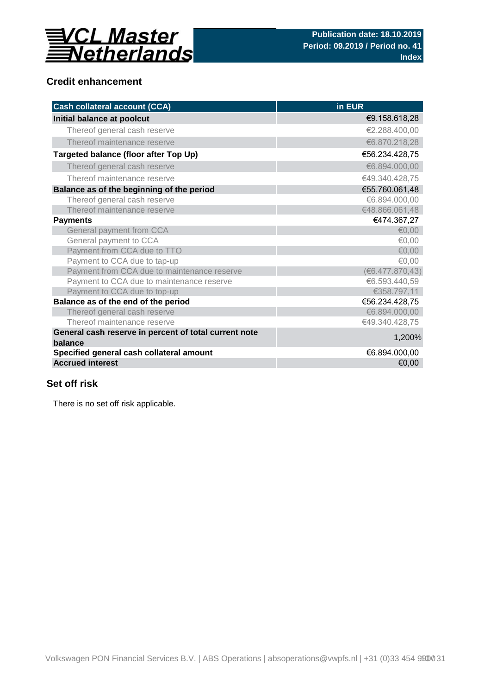

# **Credit enhancement**

| <b>Cash collateral account (CCA)</b>                             | in EUR          |
|------------------------------------------------------------------|-----------------|
| Initial balance at poolcut                                       | €9.158.618,28   |
| Thereof general cash reserve                                     | €2.288.400,00   |
| Thereof maintenance reserve                                      | €6.870.218,28   |
| Targeted balance (floor after Top Up)                            | €56.234.428,75  |
| Thereof general cash reserve                                     | €6.894.000,00   |
| Thereof maintenance reserve                                      | €49.340.428,75  |
| Balance as of the beginning of the period                        | €55.760.061,48  |
| Thereof general cash reserve                                     | €6.894.000,00   |
| Thereof maintenance reserve                                      | €48.866.061,48  |
| <b>Payments</b>                                                  | €474.367,27     |
| General payment from CCA                                         | € $0.00$        |
| General payment to CCA                                           | €0,00           |
| Payment from CCA due to TTO                                      | € $0,00$        |
| Payment to CCA due to tap-up                                     | €0,00           |
| Payment from CCA due to maintenance reserve                      | (6.477.870, 43) |
| Payment to CCA due to maintenance reserve                        | €6.593.440,59   |
| Payment to CCA due to top-up                                     | €358.797,11     |
| Balance as of the end of the period                              | €56.234.428,75  |
| Thereof general cash reserve                                     | €6.894.000,00   |
| Thereof maintenance reserve                                      | €49.340.428,75  |
| General cash reserve in percent of total current note<br>balance | 1,200%          |
| Specified general cash collateral amount                         | €6.894.000,00   |
| <b>Accrued interest</b>                                          | €0,00           |

# **Set off risk**

There is no set off risk applicable.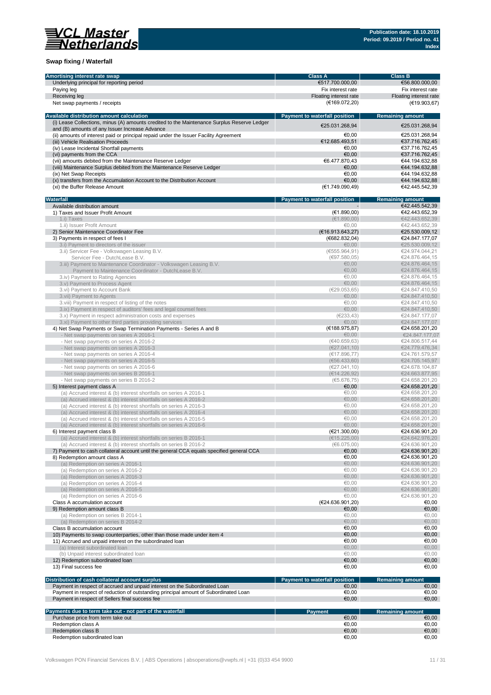

### **Swap fixing / Waterfall**

| Amortising interest rate swap                                                                                                                 | <b>Class A</b>                       | <b>Class B</b>                   |
|-----------------------------------------------------------------------------------------------------------------------------------------------|--------------------------------------|----------------------------------|
| Underlying principal for reporting period                                                                                                     | €517.700.000,00                      | €56.800.000,00                   |
| Paying leg                                                                                                                                    | Fix interest rate                    | Fix interest rate                |
| Receiving leg                                                                                                                                 | Floating interest rate               | Floating interest rate           |
| Net swap payments / receipts                                                                                                                  | (€169.072,20)                        | (€19.903,67)                     |
|                                                                                                                                               |                                      |                                  |
| Available distribution amount calculation                                                                                                     | <b>Payment to waterfall position</b> | <b>Remaining amount</b>          |
| (i) Lease Collections, minus (A) amounts credited to the Maintenance Surplus Reserve Ledger<br>and (B) amounts of any Issuer Increase Advance | €25.031.268,94                       | €25.031.268,94                   |
| (ii) amounts of interest paid or principal repaid under the Issuer Facility Agreement                                                         | €0.00                                | €25.031.268,94                   |
| (iii) Vehicle Realisation Proceeds                                                                                                            | €12.685.493,51                       | €37.716.762,45                   |
| (iv) Lease Incidental Shortfall payments                                                                                                      | €0.00                                | €37.716.762,45                   |
| (vi) payments from the CCA                                                                                                                    | €0,00                                | €37.716.762,45                   |
| (vii) amounts debited from the Maintenance Reserve Ledger                                                                                     | €6.477.870.43                        | €44.194.632,88                   |
| (viii) Maintenance Surplus debited from the Maintenance Reserve Ledger                                                                        | €0,00                                | €44.194.632,88                   |
| (ix) Net Swap Receipts                                                                                                                        | €0.00                                | €44.194.632.88                   |
| (x) transfers from the Accumulation Account to the Distribution Account                                                                       | €0,00                                | €44.194.632.88                   |
| (xi) the Buffer Release Amount                                                                                                                | (€1.749.090,49)                      | €42.445.542,39                   |
| Waterfall                                                                                                                                     | Payment to waterfall position        | <b>Remaining amount</b>          |
| Available distribution amount                                                                                                                 |                                      | €42.445.542,39                   |
| 1) Taxes and Issuer Profit Amount                                                                                                             | (E1.890,00)                          | €42.443.652,39                   |
| 1.i) Taxes                                                                                                                                    | (E1.890,00)                          | €42.443.652,39                   |
| 1.ii) Issuer Profit Amount                                                                                                                    | €0,00                                | €42.443.652,39                   |
| 2) Senior Maintenance Coordinator Fee                                                                                                         | (E16.913.643, 27)                    | €25.530.009,12                   |
| 3) Payments in respect of fees I                                                                                                              | (E682.832,04)                        | €24.847.177,07                   |
| 3.i) Payment to directors of the issuer                                                                                                       | €0.00                                | €25.530.009,12                   |
| 3.ii) Servicer Fee - Volkswagen Leasing B.V.                                                                                                  | (€555.964,91)                        | €24.974.044,21                   |
| Servicer Fee - DutchLease B.V.                                                                                                                | (697.580.05)                         | €24.876.464.15                   |
| 3.iii) Payment to Maintenance Coordinator - Volkswagen Leasing B.V.                                                                           | €0.00                                | €24.876.464.15                   |
| Payment to Maintenance Coordinator - DutchLease B.V.                                                                                          | €0.00                                | €24.876.464,15                   |
| 3.iv) Payment to Rating Agencies                                                                                                              | €0,00                                | €24.876.464,15                   |
| 3.y) Payment to Process Agent                                                                                                                 | €0,00                                | €24.876.464,15                   |
| 3.vi) Payment to Account Bank                                                                                                                 | (€29.053,65)                         | €24.847.410.50                   |
| 3.vii) Payment to Agents                                                                                                                      | €0,00                                | €24.847.410,50                   |
| 3. viii) Payment in respect of listing of the notes                                                                                           | €0.00                                | €24.847.410,50                   |
| 3.ix) Payment in respect of auditors' fees and legal counsel fees                                                                             | €0,00                                | €24.847.410,50                   |
| 3.x) Payment in respect administration costs and expenses                                                                                     | (E233, 43)                           | €24.847.177,07                   |
| 3.xi) Payment to other third parties providing services                                                                                       | €0,00                                | €24.847.177,07                   |
| 4) Net Swap Payments or Swap Termination Payments - Series A and B                                                                            | (€188.975,87)                        | €24.658.201,20                   |
| - Net swap payments on series A 2016-1<br>- Net swap payments on series A 2016-2                                                              | € $0,00$<br>(€40.659,63)             | €24.847.177,07<br>€24.806.517,44 |
| - Net swap payments on series A 2016-3                                                                                                        | (E27.041, 10)                        | €24.779.476,34                   |
| - Net swap payments on series A 2016-4                                                                                                        | (E17.896,77)                         | €24.761.579,57                   |
| - Net swap payments on series A 2016-5                                                                                                        | (656.433,60)                         | €24.705.145,97                   |
| - Net swap payments on series A 2016-6                                                                                                        | (E27.041, 10)                        | €24.678.104,87                   |
| - Net swap payments on series B 2016-1                                                                                                        | (E14.226.92)                         | €24.663.877,95                   |
| - Net swap payments on series B 2016-2                                                                                                        | (65.676, 75)                         | €24.658.201,20                   |
| 5) Interest payment class A                                                                                                                   | €0,00                                | €24.658.201,20                   |
| (a) Accrued interest & (b) interest shortfalls on series A 2016-1                                                                             | €0,00                                | €24.658.201,20                   |
| (a) Accrued interest & (b) interest shortfalls on series A 2016-2                                                                             | €0,00                                | €24.658.201,20                   |
| (a) Accrued interest & (b) interest shortfalls on series A 2016-3                                                                             | €0,00                                | €24.658.201,20                   |
| (a) Accrued interest & (b) interest shortfalls on series A 2016-4                                                                             | €0,00                                | €24.658.201,20                   |
| (a) Accrued interest & (b) interest shortfalls on series A 2016-5                                                                             | €0,00                                | €24.658.201,20                   |
| (a) Accrued interest & (b) interest shortfalls on series A 2016-6                                                                             | €0.00                                | €24.658.201,20                   |
| 6) Interest payment class B                                                                                                                   | (E21.300,00)                         | €24.636.901,20                   |
| (a) Accrued interest & (b) interest shortfalls on series B 2016-1                                                                             | (€15.225,00)                         | €24.642.976,20                   |
| (a) Accrued interest & (b) interest shortfalls on series B 2016-2                                                                             | (66.075,00)                          | €24.636.901,20                   |
| 7) Payment to cash collateral account until the general CCA equals specified general CCA                                                      | €0,00                                | €24.636.901,20                   |
| 8) Redemption amount class A                                                                                                                  | €0,00                                | €24.636.901,20                   |
| (a) Redemption on series A 2016-1                                                                                                             | € $0,00$                             | €24.636.901,20                   |
| (a) Redemption on series A 2016-2                                                                                                             | €0,00                                | €24.636.901,20                   |
| (a) Redemption on series A 2016-3                                                                                                             | €0,00                                | €24.636.901,20                   |
| (a) Redemption on series A 2016-4                                                                                                             | €0,00                                | €24.636.901,20                   |
| (a) Redemption on series A 2016-5                                                                                                             | €0,00                                | €24.636.901,20                   |
| (a) Redemption on series A 2016-6                                                                                                             | €0,00                                | €24.636.901,20                   |
| Class A accumulation account                                                                                                                  | (€24.636.901,20)<br>€0,00            | €0,00<br>€0,00                   |
| 9) Redemption amount class B                                                                                                                  | €0,00                                | € $0,00$                         |
| (a) Redemption on series B 2014-1<br>(a) Redemption on series B 2014-2                                                                        | €0,00                                | €0,00                            |
| Class B accumulation account                                                                                                                  | €0,00                                | €0,00                            |
| 10) Payments to swap counterparties, other than those made under item 4                                                                       | €0,00                                | €0,00                            |
| 11) Accrued and unpaid interest on the subordinated loan                                                                                      | €0,00                                | €0,00                            |
| (a) Interest subordinated loan                                                                                                                | €0,00                                | €0,00                            |
| (b) Unpaid interest subordinated loan                                                                                                         | €0,00                                | € $0,00$                         |
| 12) Redemption subordinated loan                                                                                                              | €0,00                                | €0,00                            |
| 13) Final success fee                                                                                                                         | €0,00                                | €0,00                            |
|                                                                                                                                               |                                      |                                  |
| Distribution of cash collateral account surplus                                                                                               | Payment to waterfall position        | <b>Remaining amount</b>          |
| Payment in respect of accrued and unpaid interest on the Subordinated Loan                                                                    | €0,00                                | €0,00                            |
| Payment in respect of reduction of outstanding principal amount of Subordinated Loan                                                          | €0,00                                | €0,00                            |
| Payment in respect of Sellers final success fee                                                                                               | €0,00                                | €0,00                            |
| Payments due to term take out - not part of the waterfall                                                                                     | <b>Payment</b>                       | <b>Remaining amount</b>          |
| Purchase price from term take out                                                                                                             | €0,00                                | €0,00                            |
| Redemption class A                                                                                                                            | €0,00                                | €0,00                            |
| Redemption class B                                                                                                                            | €0,00                                | €0,00                            |
| Redemption subordinated loan                                                                                                                  | €0,00                                | €0,00                            |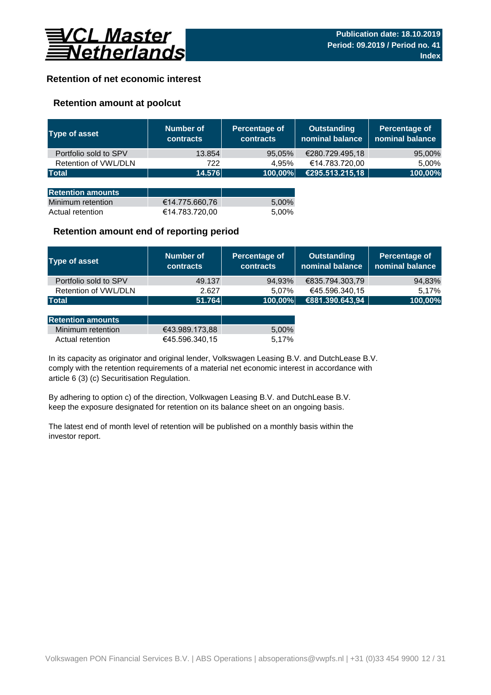

# **Retention of net economic interest**

# **Retention amount at poolcut**

| <b>Type of asset</b>     | Number of<br><b>contracts</b> | Percentage of<br><b>contracts</b> | <b>Outstanding</b><br>nominal balance | Percentage of<br>nominal balance |
|--------------------------|-------------------------------|-----------------------------------|---------------------------------------|----------------------------------|
| Portfolio sold to SPV    | 13.854                        | 95,05%                            | €280.729.495,18                       | 95,00%                           |
| Retention of VWL/DLN     | 722                           | 4.95%                             | €14.783.720,00                        | 5,00%                            |
| <b>Total</b>             | 14.576                        | 100,00%                           | €295.513.215,18                       | 100,00%                          |
|                          |                               |                                   |                                       |                                  |
| <b>Retention amounts</b> |                               |                                   |                                       |                                  |
| Minimum retention        | €14.775.660,76                | 5,00%                             |                                       |                                  |
| Actual retention         | €14.783.720,00                | 5.00%                             |                                       |                                  |

### **Retention amount end of reporting period**

| Type of asset         | Number of<br><b>contracts</b> | Percentage of<br><b>contracts</b> | <b>Outstanding</b><br>nominal balance | Percentage of<br>nominal balance |
|-----------------------|-------------------------------|-----------------------------------|---------------------------------------|----------------------------------|
| Portfolio sold to SPV | 49.137                        | 94.93%                            | €835.794.303.79                       | 94,83%                           |
| Retention of VWL/DLN  | 2.627                         | 5.07%                             | €45.596.340,15                        | 5.17%                            |
| Total                 | 51.764                        | 100,00%                           | €881.390.643,94                       | 100,00%                          |

| <b>IRetention amounts</b> . |                |       |
|-----------------------------|----------------|-------|
| Minimum retention           | €43.989.173.88 | 5.00% |
| Actual retention            | €45.596.340.15 | 5.17% |

article 6 (3) (c) Securitisation Regulation. In its capacity as originator and original lender, Volkswagen Leasing B.V. and DutchLease B.V. comply with the retention requirements of a material net economic interest in accordance with

By adhering to option c) of the direction, Volkwagen Leasing B.V. and DutchLease B.V. keep the exposure designated for retention on its balance sheet on an ongoing basis.

The latest end of month level of retention will be published on a monthly basis within the investor report.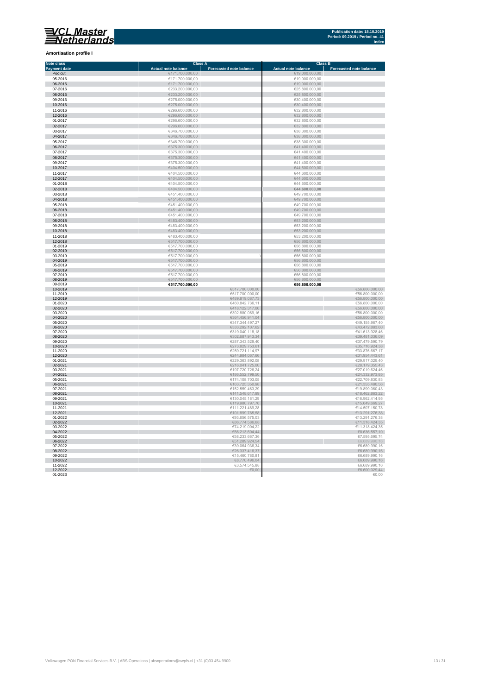**Amortisation profile I**

#### **Class A Class B Class B Class B Class B Class B Class B Class B Class B Class B Eq. 1 Note class Payment date and the Sale of the Case of the Sale of the Sale of the Sale of the Sale of the Sale of the Sale of the Sale of the Sale of the Sale of the Sale of the Sale of the Sale of the Sale of the Sale of the Sale of** Poolcut ∈19.000.000,00 ∈171.700.000,00 ∈171.700.000,00 ∈19.000.000,00 ∈19.000.000,00 ∈19.000.000,00 ∈19.000.000,00 ∈19.000.000,00 ∈19.000.000,00 ∈19.000.000,00 ∈19.000.000,00 ∈19.000.000,00 ∈19.000.000,00 ∈19.000.000,00 ∈ г 06-2016 €171.700.000,00 €19.000.000,00  $\begin{array}{r}\n 07-2016 \\
\hline\n 623.200.000,00 \\
\hline\n 625.800.000,00 \\
\hline\n 625.800.000,00 \\
\hline\n 625.800.000,00 \\
\hline\n 625.800.000,00 \\
\hline\n 625.800.000,00 \\
\hline\n 625.800.000,00 \\
\hline\n 625.800.000,00 \\
\hline\n 625.800.000,00 \\
\hline\n 625.800.000,00 \\
\h$ Ì. 08-2016 €233.200.000,00 €25.800.000,00 09-2016 €275.000.000,00 €30.400.000,00 п 10-2016 €275.000.000,00 €30.400.000,00 11-2016 €296.600.000,00 €32.800.000,00 11-2016<br>  $C296.600.000,00$ <br>  $C296.600.000,00$ <br>  $C296.600.000,00$ <br>  $C296.600.000,00$ <br>  $C296.600.000,00$ <br>  $C296.600.000,00$ <br>  $C296.600.000,00$ <br>  $C296.600.000,00$ <br>  $C32.800.000,00$ <br>  $C32.800.000,00$ <br>  $C32.800.000,00$ <br>  $C32.$ 12-2016 €296.600.000,00 €32.800.000,00 01-2017 €296.600.000,00 €32.800.000,00  $6346.700.000,00$  ∈38.300.000,00 ∈38.300.000,00 × 0**4-2017** €38.300.000,00 €346.700.000,00 €346.700.000,00 €38.300.000,00 €38.300.000,00 €38.300.000,00 €38.300.000,00<br>05-2017 €38.300.000,00 €346.700.000,00 €346.700.000,00 €346.700.000,00 €346.700 €38.300.000,00 €38.300.0 × 06-2017 €375.300.000,00 €41.400.000,00  $\epsilon$ 375.300.000,00  $\epsilon$  (and the set of  $\epsilon$ 41.400.000,00  $\epsilon$ 0**8-2017 ∈**41.400.000,00 ∈375.300.000,00 ∈375.300.000,00 ∈41.400.000,00 ∈41.400.000,00 ∈41.400.000,00 ∈41.400.000,00 ∈41.400.000,00 ∈41.400.000,00 ∈41.400.000,00 ∈41.400.000,00 ∈41.400.000,00 ∈41.400.000,00 ∈41.400.000,00 п 10-2017 €404.500.000,00 €44.600.000,00 11-2017 €404.500.000,00 €404.500.000,00 €404.500.000,00 €404.500.000,00 €404.500.000,00 €44.600.000,00 €44.600.000,00 r. 12-2017 €404.500.000,00 €404.500.000,00 €404.500.000,00 €404.500.000,00 €44.600.000,00 €44.600.000,00  $01-2018$  ∈404.500.000,00 ∈404.500.000,00 ∈404.500.000,00 ∈404.600.000,00 × 02-2018 €404.500.000,00 **€44.600.000,00**  $6451.400.000,00$ <br>  $6451.400.000,00$ <br>  $6451.400.000,00$ <br>  $6451.400.000,00$ <br>  $6451.400.000,00$ <br>  $6451.400.000,00$ <br>  $6451.400.000,00$ п 04-2018 €451.400.000,00 €49.700.000,00  $65-2018$  ∈451.400.000,00 ∈451.400.000,00 ∈451.400.000,00 ∈49.700.000,00 × 06-2018 €49.700.000,00 €451.400.000,00 € 451.400.000,00 € 5451.400.000,00 € 5451.400.000,00 € 549.700.000,00 07-2018 €451.400.000,00 €49.700.000,00 r  $\frac{6483.400.000,00}{6483.400.000,00}$   $\frac{6483.400.000,00}{6483.400,000,00}$   $\frac{653.200.000,00}{653.200,000,00}$  $09-2018$   $09-2018$   $09-2018$   $09-2018$   $09-2018$   $09-2018$   $09-2018$   $09-2018$   $09-2018$   $09-2018$   $09-2018$   $09-2018$   $09-2018$   $09-2018$   $09-2018$   $09-2018$   $09-2018$   $09-2018$   $09-2018$   $09-2018$   $09-2018$   $09-2018$  10-2018 €53.200.000,00 €683.400.000,00 €683.400.000,00 €53.200.000,00 €53.200.000,00 €53.200.000,00 €53.200.000,00<br>11-2018 €53.200.000,00 €53.200.000,00 €53.200.000,00 €53.200.000,00 €53.200.000,00 €53.200.000,00 €53.200. 12-2018 €517.700.000,00 €56.800.000,00 01-2019 €517.700.000,00 €56.800.000,00 02-2019 €517.700.000,00 €56.800.000,00 ×  $\begin{array}{ccccccc} 03-2019 & & & \in & 617.700.000,00 & & & & \ 04-2019 & & & \in & 66.800.000,00 & \in & & & \end{array}$ × 04-2019 €517.700.000,00 €56.800.000,00 05-2019 €56.800.000,00 €517.700.000,00 €617.700.000,00 €66.800.000,00 €56.800.000,00 €66.800.000,00 €66.800.000,00 ×. 06-2019 €517.700.000,00 €56.800.000,00  $\textbf{07-2019}$   $\textbf{08-2019}$   $\textbf{09-2019}$   $\textbf{000,00}$ i. 08-2019 €517.700.000,00 €56.800.000,00 09-2019 **€517.700.000,00 €56.800.000,00** 10-2019 €517.700.000,00 €56.800.000,00 11-2019 €517.700.000,00 €56.800.000,00 12-2019 €489.819.087,73 €56.800.000,00 01-2020 ∈56.800.000,00 п 02-2020 €56.800.000,00,00 € 56.800.000,00 € 57.5 € 57.5 € 57.5 € 57.5 € 57.5 € 57.5 € 57.5 € 57.5 € 57.5 € 57.5 € 57.5 € 57.5 € 57.5 € 57.5 € 57.5 € 57.5 € 57.5 € 57.5 € 57.5 € 57.5 € 57.5 € 57.5 € 57.5 € 57.5 € 57.5 € 5  $03$ -2020 ∈56.800.000,00 Ì. 04-2020 €56.800.000,00 € 66.800.000,00 € 66.800.000,00 € 66.800.000,00 € 66.800.000,00 € 66.800.000,00 € 65.800  $6347.344.497,27$   $649.155.967,4020$   $6347.344.497,27$   $649.155.967,4020$ п 06-2020 ∈43.472.883,60 €43.472.883,60 € 533.292.107,62 € 533.292.107,62 € 43.472.883,60  $07$ -2020 ∈41.613.928,46 ∈41.613.928,46 r. 08-2020 €39.481.036,09 €302.687.943,34 €302.687.943,34 €302.687.943,34 €302.687.943,34 €30.481.036,09  $09-2020$  ∈37.479.590,79 €37.479.590,79 п 10-2020 €273.829.753,61 €35.716.924,38 11-2020 €259.721.114,97 €33.876.667,17 12-2020 €31.954.443,61 €31.954.443,61 €31.954.443,61 €31.954.443,61 €31.954.443,61 €31.954.443,61 €31.954.443,61 01-2021 ∈29.917.029,40 €229.363.892,08 ∈229.363.892,08 ∈29.917.029,40 02-2021 €28.179.355,43  $03$ -2021 ∈27.019.624,46 ∈27.019.624,46 04-2021 €186.552.799,50 €24.332.973,85  **∈22.709.830,83** 06-2021 €163.725.350,98 €21.355.480,56  $07-2021$  ∈19.899.060,43 08-2021 €141.548.617,99 €18.462.863,22  $09-2021$  ∈ 130.045.181,29  $\blacksquare$   $045.181,29$   $\blacksquare$   $05.2021$   $\blacksquare$   $05.2414,95$ 10-2021 €119.980.797,76 €15.649.669,27 11-2021 €111.221.489,28 €14.507.150,78 12-2021 €101.899.785,58 €13.291.276,38 01-2022 ∈93.656.575,03 ∈93.656.575,03 ∈93.656.575,03 €93.656.575,03 €93.656.575,03 €13.291.276,38 02-2022 €86.774.586,68 €11.318.424,35  $03-2022$  ∈11.318.424,35 I. 04-2022  $\epsilon$  68.636.557,10  $05-2022$  ∈58.233.667,36  $\epsilon$ 58.233.667,36  $\epsilon$ 7.595.695,74 06-2022  $\epsilon$ 51.289.924,54  $\epsilon$ 51.289.924,54  $\epsilon$ 51.289.924,54  $\epsilon$ 51.289.924,54  $\epsilon$ 5.689.990,16  $07-2022$  ∈39.064.936,34 ∈6.689.990,16 08-2022 €26.337.416,37 €6.689.990,16  $09-2022$  ∈ 6.689.990,16 10-2022 €8.689.990,16 €8.770.496,04 €8.770.496,04 €8.770.496,04 €8.770.496,04 €8.770.496,04 €8.689.990,16 11-2022 ∈ 3.574.545,88 ∈ 3.574.545,88 ∈ 3.574.545,88 ∈ 3.574.545,88 ∈ 3.574.545,88 ∈ 3.574.545,88 ∈ 3.574.545,88 ∈ 3.574.545,88 ∈ 3.574.545,88 ∈ 3.574.545,88 ∈ 3.574.545,88 ∈ 3.574.545,88 ∈ 3.574.545,88 ∈ 3.574.545,88 ∈ 12-2022 €6.600.029,44

 $01$ -2023  $\in$  0.00  $\in$  0.00  $\in$  0.00  $\in$  0.00  $\in$  0.00  $\in$  0.00  $\in$  0.00  $\in$  0.00  $\in$  0.00  $\in$  0.00  $\in$  0.00  $\in$  0.00  $\in$  0.00  $\in$  0.00  $\in$  0.00  $\in$  0.00  $\in$  0.00  $\in$  0.00  $\in$  0.00  $\in$  0.00  $\in$  0.00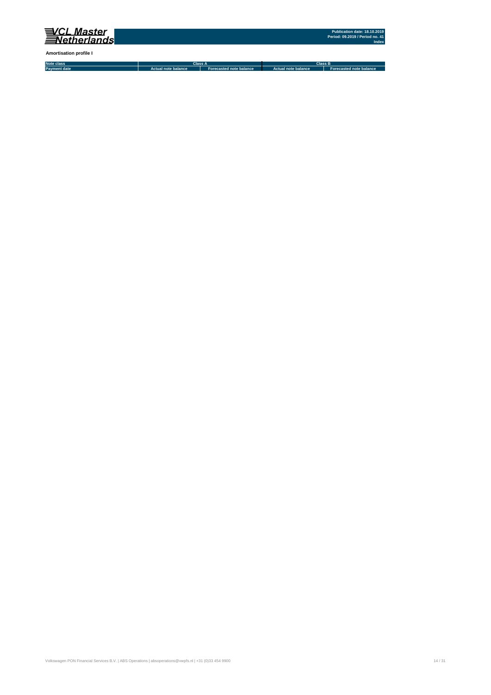

**Amortisation profile I**

**Note class Payment date Actual note balance Forecasted note balance Actual note balance2 Forecasted note balance3 Class A Class B**

Volkswagen PON Financial Services B.V. | ABS Operations | absoperations@vwpfs.nl | +31 (0)33 454 9900 14 / 31 (9) 14 / 31 (9) 14 / 31 (9) 14 / 31 (9) 14 / 31 (9) 14 / 31 (9) 14 / 31 (9) 14 / 31 (9) 14 / 31 (9) 14 / 31 (9)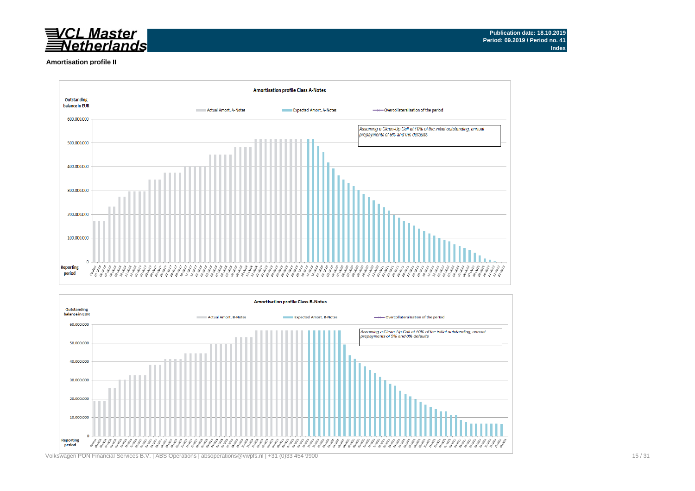

#### **Amortisation profile II**



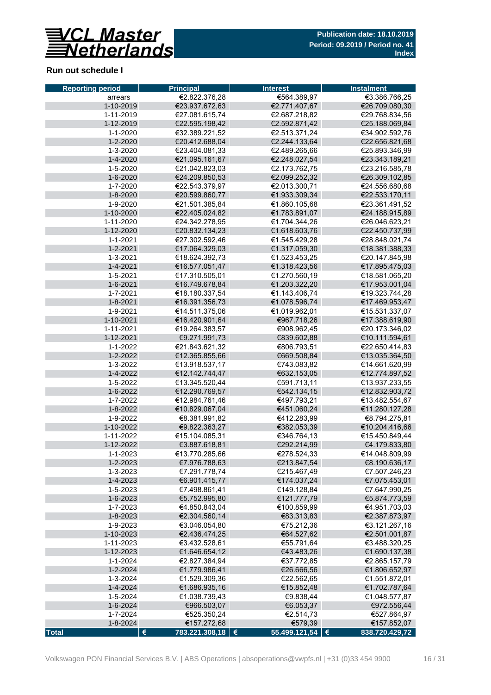

# **Run out schedule I**

| <b>Reporting period</b> | <b>Principal</b>                       | <b>Interest</b>   | <b>Instalment</b> |  |  |  |  |
|-------------------------|----------------------------------------|-------------------|-------------------|--|--|--|--|
| arrears                 | €2.822.376,28                          | €564.389,97       | €3.386.766,25     |  |  |  |  |
| 1-10-2019               | €23.937.672,63                         | €2.771.407,67     | €26.709.080,30    |  |  |  |  |
| 1-11-2019               | €27.081.615.74                         | €2.687.218,82     | €29.768.834,56    |  |  |  |  |
| 1-12-2019               | €22.595.198,42                         | €2.592.871,42     | €25.188.069,84    |  |  |  |  |
| 1-1-2020                | €32.389.221,52                         | €2.513.371,24     | €34.902.592,76    |  |  |  |  |
| 1-2-2020                | €20.412.688,04                         | €2.244.133,64     | €22.656.821,68    |  |  |  |  |
| 1-3-2020                | €23.404.081,33                         | €2.489.265,66     | €25.893.346,99    |  |  |  |  |
| 1-4-2020                | €21.095.161,67                         | €2.248.027,54     | €23.343.189,21    |  |  |  |  |
| 1-5-2020                | €21.042.823,03                         | €2.173.762.75     | €23.216.585,78    |  |  |  |  |
| 1-6-2020                | €24.209.850,53                         | €2.099.252,32     | €26.309.102,85    |  |  |  |  |
| 1-7-2020                | €22.543.379,97                         | €2.013.300,71     | €24.556.680,68    |  |  |  |  |
| 1-8-2020                | €20.599.860,77                         | €1.933.309,34     | €22.533.170,11    |  |  |  |  |
| 1-9-2020                | €21.501.385,84                         | €1.860.105,68     | €23.361.491,52    |  |  |  |  |
| 1-10-2020               | €22.405.024,82                         | €1.783.891,07     | €24.188.915,89    |  |  |  |  |
| 1-11-2020               | €24.342.278,95                         | €1.704.344,26     | €26.046.623,21    |  |  |  |  |
| 1-12-2020               | €20.832.134,23                         | €1.618.603,76     | €22.450.737,99    |  |  |  |  |
| 1-1-2021                | €27.302.592,46                         | €1.545.429,28     | €28.848.021,74    |  |  |  |  |
| $1 - 2 - 2021$          | €17.064.329,03                         | €1.317.059,30     | €18.381.388,33    |  |  |  |  |
| 1-3-2021                | €18.624.392,73                         | €1.523.453,25     | €20.147.845,98    |  |  |  |  |
| 1-4-2021                | €16.577.051,47                         | €1.318.423,56     | €17.895.475,03    |  |  |  |  |
| 1-5-2021                | €17.310.505,01                         | €1.270.560,19     | €18.581.065,20    |  |  |  |  |
| $1 - 6 - 2021$          | €16.749.678,84                         | €1.203.322,20     | €17.953.001,04    |  |  |  |  |
| 1-7-2021                | €18.180.337,54                         | €1.143.406,74     | €19.323.744,28    |  |  |  |  |
| 1-8-2021                | €16.391.356,73                         | €1.078.596,74     | €17.469.953,47    |  |  |  |  |
| 1-9-2021                | €14.511.375,06                         | €1.019.962,01     | €15.531.337,07    |  |  |  |  |
| 1-10-2021               | €16.420.901,64                         | €967.718,26       | €17.388.619,90    |  |  |  |  |
| 1-11-2021               | €19.264.383,57                         | €908.962,45       | €20.173.346,02    |  |  |  |  |
| 1-12-2021               | €9.271.991,73                          | €839.602,88       | €10.111.594,61    |  |  |  |  |
| 1-1-2022                | €21.843.621,32                         | €806.793,51       | €22.650.414,83    |  |  |  |  |
| 1-2-2022                | €12.365.855,66                         | €669.508,84       | €13.035.364,50    |  |  |  |  |
| 1-3-2022                | €13.918.537,17                         | €743.083,82       | €14.661.620,99    |  |  |  |  |
| 1-4-2022                | €12.142.744,47                         | €632.153,05       | €12.774.897,52    |  |  |  |  |
| 1-5-2022                | €13.345.520,44                         | €591.713,11       | €13.937.233,55    |  |  |  |  |
| 1-6-2022                | €12.290.769,57                         | €542.134,15       | €12.832.903,72    |  |  |  |  |
| 1-7-2022                | €12.984.761,46                         | €497.793,21       | €13.482.554,67    |  |  |  |  |
| 1-8-2022                | €10.829.067,04                         | €451.060,24       | €11.280.127,28    |  |  |  |  |
| 1-9-2022                | €8.381.991,82                          | €412.283,99       | €8.794.275,81     |  |  |  |  |
| 1-10-2022               | €9.822.363,27                          | €382.053,39       | €10.204.416,66    |  |  |  |  |
| 1-11-2022               | €15.104.085,31                         | €346.764,13       | €15.450.849,44    |  |  |  |  |
| 1-12-2022               | €3.887.618,81                          | €292.214,99       | €4.179.833,80     |  |  |  |  |
| 1-1-2023                | €13.770.285,66                         | €278.524,33       | €14.048.809,99    |  |  |  |  |
| 1-2-2023                | €7.976.788,63                          | €213.847,54       | €8.190.636,17     |  |  |  |  |
| 1-3-2023                | €7.291.778,74                          | €215.467,49       | €7.507.246,23     |  |  |  |  |
| 1-4-2023                | €6.901.415,77                          | €174.037,24       | €7.075.453,01     |  |  |  |  |
| 1-5-2023                | €7.498.861,41                          | €149.128,84       | €7.647.990,25     |  |  |  |  |
| 1-6-2023                | €5.752.995,80                          | €121.777,79       | €5.874.773,59     |  |  |  |  |
| 1-7-2023                | €4.850.843,04                          | €100.859,99       | €4.951.703,03     |  |  |  |  |
| 1-8-2023                | €2.304.560,14                          | €83.313,83        | €2.387.873,97     |  |  |  |  |
| 1-9-2023                | €3.046.054,80                          | €75.212,36        | €3.121.267,16     |  |  |  |  |
| 1-10-2023               | €2.436.474,25                          | €64.527,62        | €2.501.001,87     |  |  |  |  |
| 1-11-2023               | €3.432.528,61                          | €55.791,64        | €3.488.320,25     |  |  |  |  |
| 1-12-2023               | €1.646.654,12                          | €43.483,26        | €1.690.137,38     |  |  |  |  |
| 1-1-2024                | €2.827.384,94                          | €37.772,85        | €2.865.157,79     |  |  |  |  |
| 1-2-2024                | €1.779.986,41                          | €26.666,56        | €1.806.652,97     |  |  |  |  |
| 1-3-2024                | €1.529.309,36                          | €22.562,65        | €1.551.872,01     |  |  |  |  |
| 1-4-2024                | €1.686.935,16                          | €15.852,48        | €1.702.787,64     |  |  |  |  |
| 1-5-2024                | €1.038.739,43                          | €9.838,44         | €1.048.577,87     |  |  |  |  |
| 1-6-2024                | €966.503,07                            | €6.053,37         | €972.556,44       |  |  |  |  |
| 1-7-2024                | €525.350,24                            | €2.514,73         | €527.864,97       |  |  |  |  |
| 1-8-2024                | €157.272,68                            | €579,39           | €157.852,07       |  |  |  |  |
| <b>Total</b>            | $\pmb{\epsilon}$<br>783.221.308,18   € | $55.499.121,54$ € | 838.720.429,72    |  |  |  |  |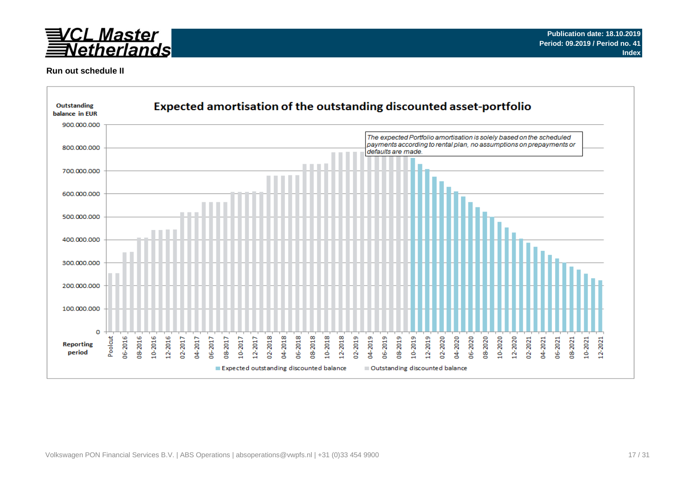

### **Run out schedule II**

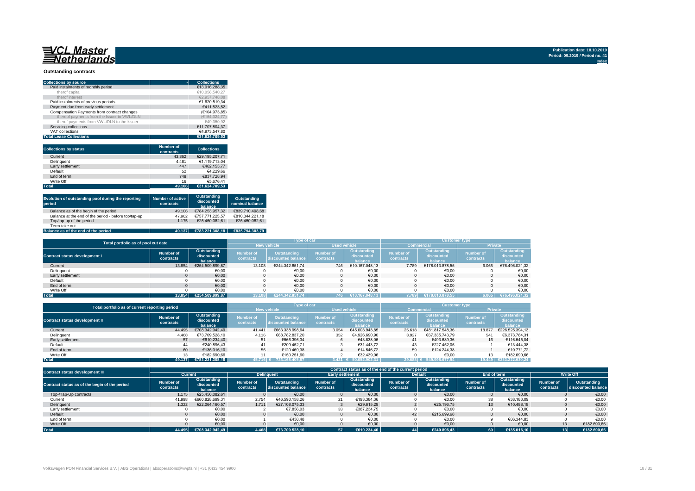#### **Outstanding contracts**

| <b>Collections by source</b>                | <b>Collections</b> |
|---------------------------------------------|--------------------|
| Paid instalments of monthly period          | €13.016.288.35     |
| therof capital                              | €10.058.540.27     |
| therof interest                             | €2.957.748.08      |
| Paid instalments of previous periods        | €1.620.519.34      |
| Payment due from early settlement           | €411.523.52        |
| Compensation Payments from contract changes | (€104.973.85)      |
| thereof payments from the Issuer to VWL/DLN | (€154.324.77)      |
| therof payments from VWL/DLN to the Issuer  | €49.350.92         |
| Servicing collections                       | €11.707.804.37     |
| VAT collections                             | €4.973.547.80      |
| <b>Total Lease Collections</b>              | €31.624.709.53     |

| <b>Collections by status</b> | <b>Number of</b><br>contracts | <b>Collections</b> |
|------------------------------|-------------------------------|--------------------|
| Current                      | 43.362                        | €29.195.207.71     |
| Delinquent                   | 4.481                         | €1.119.713.04      |
| Early settlement             | 447                           | €462.153.77        |
| Default                      | 52                            | €4.229.66          |
| End of term                  | 748                           | €837.728.94        |
| Write Off                    | 16                            | €5.676.41          |
| <b>Total</b>                 | 49.106                        | €31.624.709.53     |

| Evolution of outstanding pool during the reporting<br>period | <b>Number of active</b><br>contracts | Outstanding<br>discounted<br>balance | Outstanding<br>nominal balance |
|--------------------------------------------------------------|--------------------------------------|--------------------------------------|--------------------------------|
| Balance as of the begin of the period                        | 49.106                               | €784.253.957.32                      | €839.710.498.68                |
| Balance at the end of the period - before top/tap-up         | 47.962                               | €757.771.225.57                      | €810.344.221.18                |
| Top/tap-up of the period                                     | 1.175                                | €25.450.082.61                       | €25.450.082.61                 |
| Term take out                                                |                                      |                                      |                                |
| Balance as of the end of the period                          | 49.137                               | €783.221.308.18                      | €835.794.303.79                |

| Total portfolio as of pool cut date  |                        |                                      |                               | Type of car                              |                               |                                      | <b>Customer type</b>          |                                      |                               |                                      |  |
|--------------------------------------|------------------------|--------------------------------------|-------------------------------|------------------------------------------|-------------------------------|--------------------------------------|-------------------------------|--------------------------------------|-------------------------------|--------------------------------------|--|
|                                      |                        |                                      |                               | <b>New vehicle</b>                       |                               | <b>Used vehicle</b>                  |                               | <b>Commercial</b>                    | <b>Private</b>                |                                      |  |
| <b>Contract status development I</b> | Number of<br>contracts | Outstanding<br>discounted<br>balance | <b>Number of</b><br>contracts | <b>Outstanding</b><br>discounted balance | <b>Number of</b><br>contracts | Outstanding<br>discounted<br>halance | <b>Number of</b><br>contracts | Outstanding<br>discounted<br>halance | <b>Number of</b><br>contracts | Outstanding<br>discounted<br>balance |  |
| Current                              | 13.854                 | €254.509.899.87                      | 13.108                        | €244.342.851.74                          | 746                           | €10.167.048.13                       | 7.789                         | €178.013.878.55                      | 6.065                         | €76.496.021,32                       |  |
| Delinquent                           |                        | €0,00                                |                               | €0,00                                    |                               | €0,00                                |                               | €0,00                                |                               | €0,00                                |  |
| Early settlement                     |                        | €0,00                                |                               | €0,00                                    |                               | €0.00                                |                               | €0,00                                |                               | €0,00                                |  |
| Default                              |                        | €0,00                                |                               | €0,00                                    |                               | €0,00                                |                               | €0,00                                |                               | €0,00                                |  |
| End of term                          |                        | €0,00                                |                               | €0.00                                    |                               | €0.00                                | $\Omega$                      | €0.00                                |                               | €0,00                                |  |
| Write Off                            |                        | €0.00                                |                               | €0.00                                    |                               | €0.00                                |                               | €0.00                                |                               | €0,00                                |  |
| <b>Total</b>                         | 13.854                 | €254.509.899.87                      | 13.108                        | €244.342.851.74                          | 746                           | $\left  \right.$ €10.167.048.13      | 7.789                         | €178.013.878.55                      | 6.065                         | €76.496.021,32                       |  |

| Total portfolio as of current reporting period |                                                                |                    |                               | Type of car                                                                                                                                 |       |                                      | <b>Customer type</b>          |                                      |        |                 |  |
|------------------------------------------------|----------------------------------------------------------------|--------------------|-------------------------------|---------------------------------------------------------------------------------------------------------------------------------------------|-------|--------------------------------------|-------------------------------|--------------------------------------|--------|-----------------|--|
|                                                |                                                                | <b>New vehicle</b> |                               | <b>Used vehicle</b>                                                                                                                         |       |                                      | Commercial                    | <b>Private</b>                       |        |                 |  |
| <b>Contract status development II</b>          | Outstanding<br>Number of<br>discounted<br>contracts<br>balance |                    | <b>Number of</b><br>contracts | Outstanding<br><b>Number of</b><br><b>Number of</b><br>Outstanding<br>discounted<br>discounted balance<br>contracts<br>contracts<br>balance |       | Outstanding<br>discounted<br>balance | <b>Number of</b><br>contracts | Outstanding<br>discounted<br>balance |        |                 |  |
| Current                                        | 44.495                                                         | €708.342.942.49    | 41.441                        | €663.338.998.64                                                                                                                             | 3.054 | €45,003,943,85                       | 25.618                        | €481.817.548.36                      | 18,877 | €226.525.394.13 |  |
| Delinquent                                     | 4.468                                                          | €73.709.528.10     | 4.116                         | €68.782.837.20                                                                                                                              | 352   | €4.926.690.90                        | 3.927                         | €67.335.743.79                       | 541    | €6.373.784.31   |  |
| Early settlement                               | 57                                                             | €610.234.40        | 51                            | €566.396.34                                                                                                                                 |       | €43.838.06                           | 41                            | €493.689.36                          | 16     | €116.545.04     |  |
| Default                                        | 44                                                             | €240.896.43        | 41                            | €209.452.71                                                                                                                                 |       | €31.443.72                           | 43                            | €227.452.05                          |        | €13,444,38      |  |
| End of term                                    | 60                                                             | €135,016.10        | 56                            | €120.469.38                                                                                                                                 |       | €14.546.72                           | 59                            | €124.244.38                          |        | €10.771.72      |  |
| Write Off                                      | 13                                                             | €182.690.66        |                               | €150.251.60                                                                                                                                 |       | €32.439.06                           |                               | €0.00                                |        | €182.690.66     |  |
| <b>Total</b>                                   | 49.137                                                         | €783.221.308.18    | 45.716 €                      | 733.168.405.87                                                                                                                              |       | $3.421 \in 50.052.902.31$            | 29.688                        | 549.998.677.94                       | 19.449 | €233.222.630.24 |  |

| <b>Contract status development III</b>        |                               | Contract status as of the end of the current period |                        |                                   |                               |                                      |                        |                                      |                               |                                      |                        |                                   |
|-----------------------------------------------|-------------------------------|-----------------------------------------------------|------------------------|-----------------------------------|-------------------------------|--------------------------------------|------------------------|--------------------------------------|-------------------------------|--------------------------------------|------------------------|-----------------------------------|
|                                               | Current                       |                                                     | <b>Delinguent</b>      |                                   |                               | <b>Early settlement</b>              |                        | <b>Default</b>                       |                               | End of term                          | <b>Write Off</b>       |                                   |
| Contract status as of the begin of the period | <b>Number of</b><br>contracts | Outstanding<br>discounted<br>halance                | Number of<br>contracts | Outstanding<br>discounted balance | <b>Number of</b><br>contracts | Outstanding<br>discounted<br>balance | Number of<br>contracts | Outstanding<br>discounted<br>balance | <b>Number of</b><br>contracts | Outstanding<br>discounted<br>balance | Number of<br>contracts | Outstanding<br>discounted balance |
| Top-/Tap-Up contracts                         | 1.175                         | €25.450.082.61                                      |                        | €0.00                             |                               | €0.00                                |                        | €0.00                                |                               | €0.00                                |                        | €0,00                             |
| Current                                       | 41.998                        | €660.828.699.31                                     | 2.754                  | €46.593.158.26                    | 21                            | €193.384,36                          |                        | €0,00                                | 38                            | €38.183,09                           |                        | €0,00                             |
| Delinquent                                    | 1.322                         | €22.064.160.57                                      | 1.711                  | €27,108,075,33                    |                               | €29.615.29                           |                        | €25.196.75                           | 13                            | €10.488.18                           |                        | €0,00                             |
| Early settlement                              |                               | €0,00                                               |                        | €7.856.03                         | 33                            | €387.234.75                          |                        | €0,00                                |                               | €0,00                                |                        | €0,00                             |
| Default                                       |                               | €0.00                                               |                        | €0,00                             |                               | €0,00                                | 42                     | €215.699.68                          |                               | €0.00                                |                        | €0,00                             |
| End of term                                   |                               | €0.00                                               |                        | €438.48                           |                               | €0,00                                |                        | €0.00                                |                               | €86.344.83                           |                        | €0.00                             |
| Write Off                                     |                               | €0.00                                               |                        | €0,00                             |                               | €0,00                                |                        | €0,00                                |                               | €0.00                                | 13 <sup>1</sup>        | €182.690,66                       |
| <b>Total</b>                                  | 44.495                        | €708.342.942.49                                     | 4.468                  | €73.709.528.10                    | 57                            | €610.234.40                          | 44                     | €240.896.43                          | <b>60</b>                     | €135.016.10                          | 13 L                   | €182.690.66                       |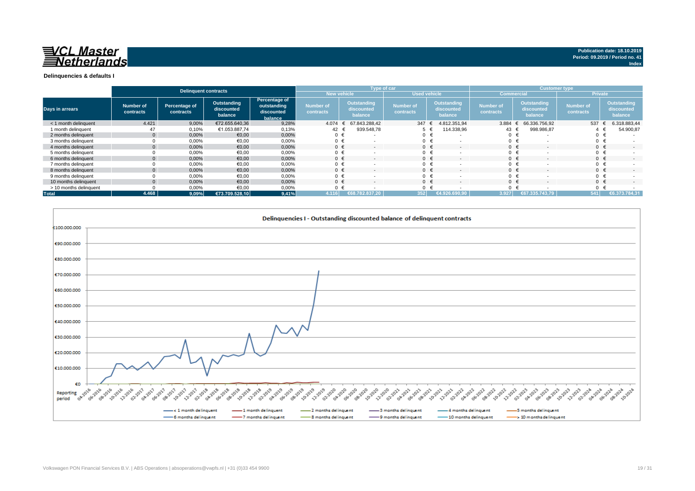

#### **Delinquencies & defaults I**

|                        |                        | <b>Delinquent contracts</b> |                                      |                                                       |                               | <b>Type of car</b>                   |                               |                                             | <b>Customer type</b>                 |                                      |                               |                                      |
|------------------------|------------------------|-----------------------------|--------------------------------------|-------------------------------------------------------|-------------------------------|--------------------------------------|-------------------------------|---------------------------------------------|--------------------------------------|--------------------------------------|-------------------------------|--------------------------------------|
|                        |                        |                             |                                      |                                                       | <b>New vehicle</b>            |                                      |                               | <b>Used vehicle</b>                         |                                      | <b>Commercial</b>                    |                               | <b>Private</b>                       |
| Days in arrears        | Number of<br>contracts | Percentage of<br>contracts  | Outstanding<br>discounted<br>balance | Percentage of<br>outstanding<br>discounted<br>balance | <b>Number of</b><br>contracts | Outstanding<br>discounted<br>balance | <b>Number of</b><br>contracts | <b>Outstanding</b><br>discounted<br>balance | <b>Number of</b><br><b>contracts</b> | Outstanding<br>discounted<br>balance | <b>Number of</b><br>contracts | Outstanding<br>discounted<br>balance |
| < 1 month delinquent   | 4.421                  | 9,00%                       | €72.655.640.36                       | 9,28%                                                 | 4.074                         | 67.843.288.42<br>$\epsilon$          | 347                           | 4.812.351,94<br>$\ddot{ }$                  | 3.884                                | 66.336.756.92                        | 537 €                         | 6.318.883,44                         |
| 1 month delinquent     | 47                     | 0,10%                       | €1.053.887,74                        | 0,13%                                                 | 42                            | 939.548.78                           |                               | 114.338,96                                  | $43 -$                               | 998.986,87                           |                               | 54.900,87                            |
| 2 months delinguent    | $\overline{0}$         | $0.00\%$                    | €0,00                                | 0,00%                                                 | 0 €                           |                                      |                               | $\overline{\phantom{a}}$                    | 0 <sup>1</sup>                       |                                      | $0 \in$                       |                                      |
| 3 months delinguent    |                        | 0,00%                       | €0,00                                | 0,00%                                                 | 0 €                           |                                      |                               |                                             | $\Omega$                             |                                      | $0 \in$                       |                                      |
| 4 months delinguent    | $\overline{0}$         | 0.00%                       | €0.00                                | 0,00%                                                 | $0 \in$                       | $\overline{\phantom{a}}$             | $0 \in$                       | $\overline{\phantom{a}}$                    |                                      |                                      | $0 \in$                       | $\sim$                               |
| 5 months delinguent    |                        | 0,00%                       | €0.00                                | 0,00%                                                 |                               |                                      |                               |                                             | $\Omega$                             |                                      | $0 \in$                       |                                      |
| 6 months delinquent    | $\overline{0}$         | 0,00%                       | €0,00                                | 0,00%                                                 | $0 \in$                       | $\overline{\phantom{a}}$             | $0 \in$                       | $\overline{\phantom{a}}$                    |                                      |                                      | $0 \in$                       | $\overline{\phantom{a}}$             |
| 7 months delinquent    |                        | 0,00%                       | €0,00                                | 0,00%                                                 |                               |                                      |                               | $\overline{\phantom{a}}$                    | $\Omega$                             |                                      | $0 \in$                       |                                      |
| 8 months delinquent    | $\overline{0}$         | 0,00%                       | €0,00                                | 0,00%                                                 | $0 \in$                       |                                      | $0 \in$                       | $\overline{\phantom{a}}$                    | $\Omega$                             |                                      | $0 \in$                       | $\overline{\phantom{a}}$             |
| 9 months delinquent    |                        | 0,00%                       | €0,00                                | 0,00%                                                 |                               |                                      |                               | $\overline{\phantom{a}}$                    | $\Omega$                             |                                      | $0 \in$                       |                                      |
| 10 months delinquent   | $\overline{0}$         | 0,00%                       | €0.00                                | 0.00%                                                 |                               |                                      | $0 \in$                       | $\overline{\phantom{a}}$                    | $\Omega$                             |                                      | $0 \in$                       |                                      |
| > 10 months delinquent |                        | 0,00%                       | €0.00                                | 0,00%                                                 |                               |                                      |                               |                                             | $\Omega$                             |                                      | $0 \in$                       |                                      |
| <b>Total</b>           | 4.468                  | $9,09\%$                    | €73.709.528.10                       | 9,41%                                                 | 4.116                         | 2.837.20                             | 352                           |                                             | 3.927                                | €67.335.743.79                       | 541                           | €6.373.784.31                        |

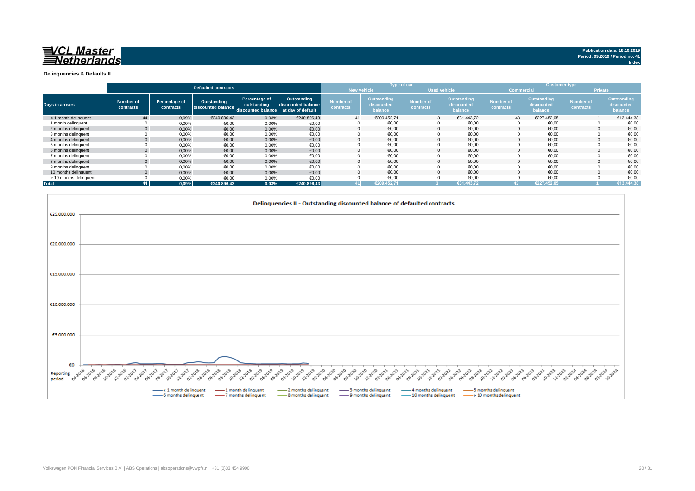

**Index**

**Delinquencies & Defaults II**

|                        |                        |                            |                                   |                                                                      |                                   |                               |                                      | Type of car                   |                                      |                               |                                      | <b>Customer type</b>          |                                      |
|------------------------|------------------------|----------------------------|-----------------------------------|----------------------------------------------------------------------|-----------------------------------|-------------------------------|--------------------------------------|-------------------------------|--------------------------------------|-------------------------------|--------------------------------------|-------------------------------|--------------------------------------|
|                        |                        |                            | <b>Defaulted contracts</b>        |                                                                      |                                   |                               | <b>New vehicle</b>                   | <b>Used vehicle</b>           |                                      | <b>Commercial</b>             |                                      |                               | <b>Private</b>                       |
| Days in arrears        | Number of<br>contracts | Percentage of<br>contracts | Outstanding<br>discounted balance | Percentage of<br>outstanding<br>discounted balance at day of default | Outstanding<br>discounted balance | <b>Number of</b><br>contracts | Outstanding<br>discounted<br>balance | <b>Number of</b><br>contracts | Outstanding<br>discounted<br>balance | <b>Number of</b><br>contracts | Outstanding<br>discounted<br>balance | <b>Number of</b><br>contracts | Outstanding<br>discounted<br>balance |
| < 1 month delinquent   | 44                     | 0,09%                      | €240.896.43                       | 0,03%                                                                | €240.896.43                       | 41                            | €209.452,71                          |                               | €31.443.72                           | 43                            | €227.452,05                          |                               | €13.444.38                           |
| 1 month delinquent     |                        | 0.00%                      | €0,00                             | 0,00%                                                                | €0,00                             |                               | €0,00                                |                               | €0,00                                |                               | €0,00                                |                               | €0,00                                |
| 2 months delinguent    | $\Omega$               | 0,00%                      | €0,00                             | 0,00%                                                                | €0,00                             |                               | €0.00                                | $\Omega$                      | €0,00                                |                               | €0,00                                |                               | €0,00                                |
| 3 months delinquent    |                        | 0,00%                      | €0,00                             | 0,00%                                                                | €0,00                             |                               | €0,00                                |                               | €0,00                                |                               | €0,00                                |                               | €0,00                                |
| 4 months delinquent    | $\mathbf{0}$           | 0,00%                      | €0,00                             | 0,00%                                                                | €0,00                             |                               | €0,00                                |                               | €0,00                                |                               | €0,00                                |                               | €0,00                                |
| 5 months delinguent    |                        | 0,00%                      | €0,00                             | 0,00%                                                                | €0,00                             |                               | €0,00                                |                               | €0,00                                |                               | €0,00                                |                               | €0,00                                |
| 6 months delinguent    | $\Omega$               | 0,00%                      | €0,00                             | 0,00%                                                                | €0,00                             |                               | €0,00                                |                               | €0,00                                |                               | €0,00                                |                               | €0,00                                |
| 7 months delinquent    |                        | 0,00%                      | €0,00                             | 0,00%                                                                | €0,00                             |                               | €0,00                                |                               | €0,00                                |                               | €0,00                                |                               | €0,00                                |
| 8 months delinquent    | $\mathbf{0}$           | 0,00%                      | €0,00                             | 0,00%                                                                | €0,00                             |                               | €0.00                                |                               | €0.00                                |                               | €0.00                                |                               | €0.00                                |
| 9 months delinquent    |                        | 0,00%                      | €0,00                             | 0,00%                                                                | €0,00                             |                               | €0,00                                |                               | €0,00                                |                               | €0,00                                |                               | €0,00                                |
| 10 months delinquent   | $\Omega$               | 0.00%                      | €0.00                             | 0.00%                                                                | €0,00                             |                               | €0.00                                |                               | €0.00                                |                               | €0.00                                |                               | €0,00                                |
| > 10 months delinquent |                        | 0,00%                      | €0,00                             | 0,00%                                                                | €0,00                             |                               | €0,00                                |                               | €0,00                                |                               | €0,00                                |                               | €0,00                                |
| <b>Total</b>           | 44                     | 0.09%                      | €240.896.43                       | 0,03%                                                                | €240.896,43                       | 41                            | €209.452.71                          |                               | €31.443.72                           | 43                            | €227.452.05                          |                               | €13.444,38                           |

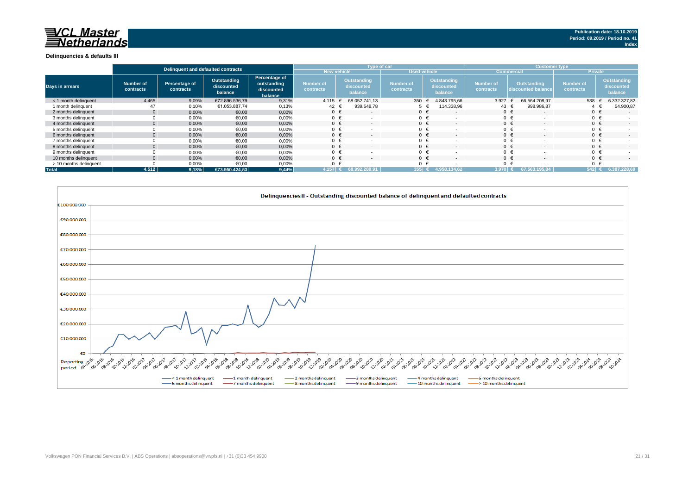# <u>E</u><u>CL</u> Master **letherlands**

#### **Delinquencies & defaults III**

|                        |                               | Delinquent and defaulted contracts |                                      |                                                       |                               |                                      | Type of car                   |                                             | <b>Customer type</b>          |                                          |                               |                                      |  |
|------------------------|-------------------------------|------------------------------------|--------------------------------------|-------------------------------------------------------|-------------------------------|--------------------------------------|-------------------------------|---------------------------------------------|-------------------------------|------------------------------------------|-------------------------------|--------------------------------------|--|
|                        |                               |                                    |                                      |                                                       | <b>New vehicle</b>            |                                      | <b>Used vehicle</b>           |                                             | <b>Commercial</b>             |                                          | <b>Private</b>                |                                      |  |
| <b>Days in arrears</b> | <b>Number of</b><br>contracts | Percentage of<br>contracts         | Outstanding<br>discounted<br>balance | Percentage of<br>outstanding<br>discounted<br>balance | <b>Number of</b><br>contracts | Outstanding<br>discounted<br>balance | <b>Number of</b><br>contracts | <b>Outstanding</b><br>discounted<br>balance | <b>Number of</b><br>contracts | <b>Outstanding</b><br>discounted balance | <b>Number of</b><br>contracts | Outstanding<br>discounted<br>balance |  |
| < 1 month delinguent   | 4.465                         | 9,09%                              | €72.896.536,79                       | 9,31%                                                 | 4.115                         | 68.052.741.13                        | 350                           | 4.843.795,66                                | 3.927                         | 66.564.208.97                            | 538                           | 6.332.327,82                         |  |
| 1 month delinauent     | 47                            | 0,10%                              | €1.053.887,74                        | 0,13%                                                 | 42 €                          | 939.548,78                           |                               | 114.338,96                                  | 43 €                          | 998.986,87                               |                               | 54.900,87                            |  |
| 2 months delinguent    | $\mathbf{0}$                  | 0,00%                              | €0,00                                | 0,00%                                                 | $0 \in$                       | $\overline{a}$                       | $0 \in$                       |                                             |                               | $0 \in$                                  | $0 \in$                       | $\sim$                               |  |
| 3 months delinguent    |                               | 0,00%                              | €0,00                                | 0,00%                                                 | $0 \in$                       |                                      | $0 \in$                       |                                             |                               | $0 \in$                                  |                               |                                      |  |
| 4 months delinquent    | $\mathbf{0}$                  | 0,00%                              | €0,00                                | 0,00%                                                 | $0 \in$                       | $\sim$                               | $0 \in$                       |                                             |                               | $0 \in$<br>$\overline{\phantom{a}}$      | $0 \in$                       | $\sim$                               |  |
| 5 months delinguent    |                               | 0,00%                              | €0,00                                | 0,00%                                                 | 0 <sub>1</sub>                |                                      | $0 \in$                       |                                             |                               | $0 \in$                                  |                               |                                      |  |
| 6 months delinguent    | $\mathbf{0}$                  | 0,00%                              | €0,00                                | 0,00%                                                 | $0 \in$                       | $\sim$                               | $0 \in$                       |                                             |                               | $0 \in$<br>$\overline{\phantom{a}}$      | $0 \in$                       | $\sim$                               |  |
| 7 months delinquent    |                               | 0,00%                              | €0,00                                | 0,00%                                                 | 0 <sub>1</sub>                |                                      | $0 \in$                       |                                             |                               | $0 \in$                                  |                               |                                      |  |
| 8 months delinguent    | $\Omega$                      | 0,00%                              | €0,00                                | 0,00%                                                 | $0 \in$                       | $\sim$                               | $0 \in$                       |                                             |                               | $0 \in$                                  | $0 \in$                       | $\sim$                               |  |
| 9 months delinquent    |                               | 0,00%                              | €0,00                                | 0,00%                                                 | $0 \in$                       |                                      | $0 \in$                       |                                             |                               | $0 \in$                                  |                               |                                      |  |
| 10 months delinquent   | $\Omega$                      | 0,00%                              | €0,00                                | 0,00%                                                 | $0 \in$                       | $\sim$                               | $0 \in$                       |                                             |                               | $0 \in$                                  | $0 \in$                       | $\sim$                               |  |
| > 10 months delinquent |                               | 0,00%                              | €0,00                                | 0,00%                                                 | $\mathbf 0$                   |                                      | $0 \in$                       |                                             |                               | $0 \in$                                  |                               |                                      |  |
| <b>Total</b>           | 4.512                         | 9,18%                              | €73.950.424,53                       | 9,44%                                                 | 4.157                         | 68.992.289.91                        | 355                           | L 62<br>4.958.134                           | 3.970                         | 67.563.195.84                            | $542$ $\in$                   | 6.387.228.69                         |  |

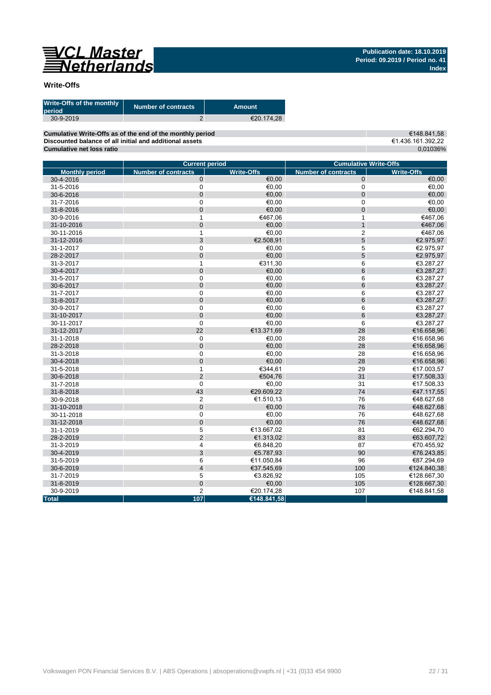

### **Write-Offs**

| Write-Offs of the monthly<br>period | <b>Number of contracts</b> | Amount     |
|-------------------------------------|----------------------------|------------|
| 30-9-2019                           |                            | €20.174.28 |
|                                     |                            |            |

**Cumulative Write-Offs as of the end of the monthly period Discounted balance of all initial and additional assets Cumulative net loss ratio**

€148.841,58 €1.436.161.392,22 0,01036%

|                       | <b>Current period</b>      |                   | <b>Cumulative Write-Offs</b> |                   |  |  |  |
|-----------------------|----------------------------|-------------------|------------------------------|-------------------|--|--|--|
| <b>Monthly period</b> | <b>Number of contracts</b> | <b>Write-Offs</b> | <b>Number of contracts</b>   | <b>Write-Offs</b> |  |  |  |
| 30-4-2016             | $\mathbf 0$                | €0.00             | $\mathbf{0}$                 | €0,00             |  |  |  |
| 31-5-2016             | $\mathbf 0$                | €0,00             | $\mathbf 0$                  | €0,00             |  |  |  |
| 30-6-2016             | $\mathbf 0$                | €0,00             | $\mathbf 0$                  | €0,00             |  |  |  |
| 31-7-2016             | $\pmb{0}$                  | €0,00             | $\mathbf 0$                  | €0,00             |  |  |  |
| 31-8-2016             | $\overline{0}$             | €0.00             | $\overline{0}$               | €0,00             |  |  |  |
| 30-9-2016             | 1                          | €467,06           | $\mathbf{1}$                 | €467,06           |  |  |  |
| 31-10-2016            | $\mathbf 0$                | €0,00             | $\mathbf{1}$                 | €467,06           |  |  |  |
| 30-11-2016            | $\mathbf{1}$               | €0,00             | $\overline{2}$               | €467,06           |  |  |  |
| 31-12-2016            | 3                          | €2.508,91         | 5                            | €2.975,97         |  |  |  |
| 31-1-2017             | $\mathbf 0$                | €0,00             | 5                            | €2.975,97         |  |  |  |
| 28-2-2017             | $\mathbf 0$                | €0,00             | 5                            | €2.975,97         |  |  |  |
| 31-3-2017             | $\mathbf{1}$               | €311,30           | 6                            | €3.287,27         |  |  |  |
| 30-4-2017             | $\mathbf 0$                | €0,00             | $6\phantom{1}6$              | €3.287,27         |  |  |  |
| 31-5-2017             | $\mathbf 0$                | €0,00             | 6                            | €3.287,27         |  |  |  |
| 30-6-2017             | $\mathbf 0$                | €0,00             | $6\phantom{1}6$              | €3.287,27         |  |  |  |
| 31-7-2017             | $\mathbf 0$                | €0.00             | 6                            | €3.287,27         |  |  |  |
| 31-8-2017             | $\mathbf 0$                | €0,00             | $6\phantom{1}6$              | €3.287,27         |  |  |  |
| 30-9-2017             | $\mathbf 0$                | €0,00             | 6                            | €3.287,27         |  |  |  |
| 31-10-2017            | $\mathbf 0$                | €0,00             | $6\phantom{1}6$              | €3.287,27         |  |  |  |
| 30-11-2017            | $\mathbf 0$                | €0,00             | 6                            | €3.287,27         |  |  |  |
| 31-12-2017            | 22                         | €13.371,69        | 28                           | €16.658,96        |  |  |  |
| 31-1-2018             | 0                          | €0,00             | 28                           | €16.658,96        |  |  |  |
| 28-2-2018             | $\overline{0}$             | €0,00             | 28                           | €16.658,96        |  |  |  |
| 31-3-2018             | $\mathbf 0$                | €0,00             | 28                           | €16.658,96        |  |  |  |
| 30-4-2018             | $\mathbf 0$                | €0,00             | 28                           | €16.658,96        |  |  |  |
| 31-5-2018             | $\mathbf{1}$               | €344,61           | 29                           | €17.003,57        |  |  |  |
| 30-6-2018             | $\overline{2}$             | €504,76           | 31                           | €17.508,33        |  |  |  |
| 31-7-2018             | $\mathbf 0$                | €0.00             | 31                           | €17.508,33        |  |  |  |
| 31-8-2018             | 43                         | €29.609.22        | 74                           | €47.117,55        |  |  |  |
| 30-9-2018             | $\overline{2}$             | €1.510,13         | 76                           | €48.627,68        |  |  |  |
| 31-10-2018            | $\pmb{0}$                  | €0,00             | 76                           | €48.627,68        |  |  |  |
| 30-11-2018            | $\pmb{0}$                  | €0,00             | 76                           | €48.627,68        |  |  |  |
| 31-12-2018            | $\overline{0}$             | €0.00             | 76                           | €48.627,68        |  |  |  |
| 31-1-2019             | 5                          | €13.667,02        | 81                           | €62.294,70        |  |  |  |
| 28-2-2019             | $\overline{2}$             | €1.313,02         | 83                           | €63.607,72        |  |  |  |
| 31-3-2019             | 4                          | €6.848,20         | 87                           | €70.455,92        |  |  |  |
| 30-4-2019             | 3                          | €5.787,93         | 90                           | €76.243,85        |  |  |  |
| 31-5-2019             | 6                          | €11.050,84        | 96                           | €87.294,69        |  |  |  |
| 30-6-2019             | $\overline{\mathbf{4}}$    | €37.545,69        | 100                          | €124.840,38       |  |  |  |
| 31-7-2019             | 5                          | €3.826,92         | 105                          | €128.667,30       |  |  |  |
| 31-8-2019             | $\mathbf 0$                | €0.00             | 105                          | €128.667,30       |  |  |  |
| 30-9-2019             | $\overline{c}$             | €20.174,28        | 107                          | €148.841,58       |  |  |  |
| <b>Total</b>          | 107                        | €148.841,58       |                              |                   |  |  |  |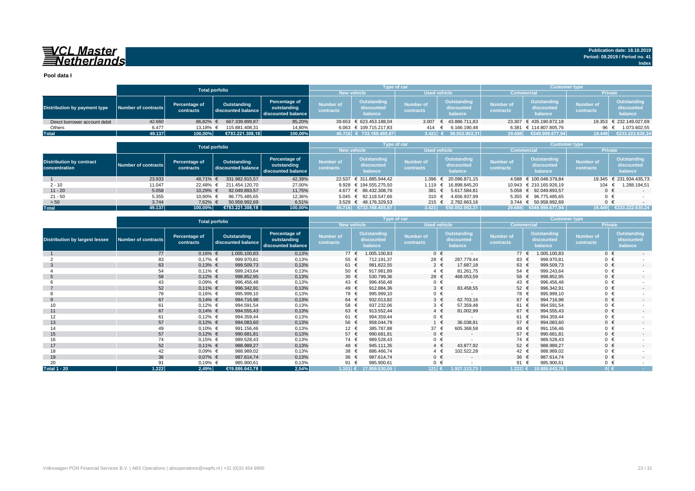# VCL Master<br>ENetherlands

**Pool data I**

|                               |                     |                            | <b>Total porfolio</b>             |                                                    |                                           | <b>Type of car</b>                   |                        |                                       | <b>Customer type</b>          |                                             |                               |                                      |
|-------------------------------|---------------------|----------------------------|-----------------------------------|----------------------------------------------------|-------------------------------------------|--------------------------------------|------------------------|---------------------------------------|-------------------------------|---------------------------------------------|-------------------------------|--------------------------------------|
|                               |                     |                            |                                   |                                                    | <b>Used vehicle</b><br><b>New vehicle</b> |                                      | <b>Commercial</b>      |                                       | <b>Private</b>                |                                             |                               |                                      |
| Distribution by payment type  | Number of contracts | Percentage of<br>contracts | Outstanding<br>discounted balance | Percentage of<br>outstanding<br>discounted balance | <b>Number of</b><br>contracts             | Outstanding<br>discounted<br>balance | Number of<br>contracts | Outstanding<br>discounted<br>balance  | <b>Number of</b><br>contracts | <b>Outstanding</b><br>discounted<br>balance | <b>Number of</b><br>contracts | Outstanding<br>discounted<br>balance |
| Direct borrower account debit | 42.660              | 86.82% €                   | 667.339.899.87                    | 85,20%                                             |                                           | 39.653 € 623.453.188.04              |                        | $3.007 \quad \in \quad 43.886.711.83$ |                               | 23.307 € 435.190.872.18                     |                               | 19.353 € 232.149.027,69              |
| Others                        | 6.477               | 13.18% €                   | 115.881.408,31                    | 14,80%                                             |                                           | 6.063 € 109.715.217.83               | 414                    | 6.166.190,48                          |                               | 6.381 € 114.807.805.76                      | 96                            | 1.073.602,55                         |
| <b>Total</b>                  | 49.137              | 100,00%                    | €783.221.308,18                   | 100,00%                                            |                                           | 45.716 € 733.168.405,87              | 3.421 $\epsilon$       | 50.052.902.31                         | 29.688                        | €549.998.677,94                             | 19.449                        | €233.222.630,24                      |

|                                                  |                     |                            | <b>Total porfolio</b>             |                                                    |                                           |                                      | <b>Type of car</b>            |                                      | <b>Customer type</b>          |                                      |                               |                                      |
|--------------------------------------------------|---------------------|----------------------------|-----------------------------------|----------------------------------------------------|-------------------------------------------|--------------------------------------|-------------------------------|--------------------------------------|-------------------------------|--------------------------------------|-------------------------------|--------------------------------------|
|                                                  |                     |                            |                                   |                                                    | <b>New vehicle</b><br><b>Used vehicle</b> |                                      |                               |                                      | <b>Commercial</b>             |                                      |                               | <b>Private</b>                       |
| <b>Distribution by contract</b><br>concentration | Number of contracts | Percentage of<br>contracts | Outstanding<br>discounted balance | Percentage of<br>outstanding<br>discounted balance | <b>Number of</b><br>contracts             | Outstanding<br>discounted<br>balance | <b>Number of</b><br>contracts | Outstanding<br>discounted<br>balance | <b>Number of</b><br>contracts | Outstanding<br>discounted<br>balance | <b>Number of</b><br>contracts | Outstanding<br>discounted<br>balance |
|                                                  | 23.933              | 48.71%                     | 331.982.815,57                    | 42,39%                                             |                                           | 22.537 € 311.885.944,42              | 1.396                         | € 20.096.871,15                      |                               | 4.588 € 100.048.379.84               |                               | 19.345 € 231.934.435,73              |
| $2 - 10$                                         | 11.047              | 22.48%                     | 211.454.120.70                    | 27,00%                                             |                                           | 9.928 € 194.555.275.50               | $1.119$ €                     | 16.898.845.20                        |                               | 10.943 € 210.165.926.19              | 104                           | 1.288.194,51                         |
| $11 - 20$                                        | 5.058               | 10.29% €                   | 92.049.893.57                     | 11,75%                                             |                                           | 4.677 € 86.432.308.76                | 381 €                         | 5.617.584.81                         |                               | 5.058 € 92.049.893.57                |                               | $0 \in$                              |
| $21 - 50$                                        | 5.355               | 10.90% €                   | 96.775.485.65                     | 12,36%                                             |                                           | 5.045 € 92.118.547.66                | 310 €                         | 4.656.937,99                         |                               | 5.355 € 96.775.485.65                |                               | $0 \in$                              |
| > 50                                             | 3.744               | 7.62% €                    | 50.958.992.69                     | 6,51%                                              |                                           | 3.529 € 48.176.329,53                | 215 €                         | 2.782.663,16                         |                               | 3.744 € 50.958.992,69                |                               | $0 \in$                              |
| <b>Total</b>                                     | 49.137              | 100.00%                    | €783.221.308.18                   | 100,00%                                            | 45.716                                    | $\sqrt{6733.168.405.87}$             | 3.421                         | €50.052.902.31                       | 29.688                        | €549.998.677.94                      | 19.449                        | €233.222.630.24                      |

|                                       |                            |                            | <b>Total porfolio</b>             |                                                    |                               |                                      | Type of car                   |                                      | <b>Customer type</b>          |                                      |                               |                                             |
|---------------------------------------|----------------------------|----------------------------|-----------------------------------|----------------------------------------------------|-------------------------------|--------------------------------------|-------------------------------|--------------------------------------|-------------------------------|--------------------------------------|-------------------------------|---------------------------------------------|
|                                       |                            |                            |                                   |                                                    | <b>New vehicle</b>            |                                      | <b>Used vehicle</b>           |                                      | <b>Commercial</b>             |                                      | Private                       |                                             |
| <b>Distribution by largest lessee</b> | <b>Number of contracts</b> | Percentage of<br>contracts | Outstanding<br>discounted balance | Percentage of<br>outstanding<br>discounted balance | <b>Number of</b><br>contracts | Outstanding<br>discounted<br>balance | <b>Number of</b><br>contracts | Outstanding<br>discounted<br>balance | <b>Number of</b><br>contracts | Outstanding<br>discounted<br>balance | <b>Number of</b><br>contracts | <b>Outstanding</b><br>discounted<br>balance |
|                                       | 77                         | $0,16%$ €                  | 1.005.100,83                      | 0,13%                                              | 77 $\epsilon$                 | 1.005.100,83                         | $0 \in$                       | $\overline{\phantom{a}}$             | 77 $\epsilon$                 | 1.005.100,83                         | $0 \in$                       | $\sim$                                      |
|                                       | 83                         | $0,17%$ €                  | 999.970,81                        | 0,13%                                              | 55                            | 712.191,37                           | 28 €                          | 287.779,44                           | 83 €                          | 999.970,81                           | $0 \in$                       |                                             |
| -3                                    | 63                         | $0,13%$ €                  | 999.509,73                        | 0,13%                                              | 61 €                          | 981.822,55                           | $2 \in$                       | 17.687,18                            | 63 €                          | 999.509,73                           | $0 \in$                       | $\sim$                                      |
|                                       | 54                         | $0,11%$ €                  | 999.243,64                        | 0,13%                                              | 50 €                          | 917.981,89                           | $4 \in$                       | 81.261,75                            | 54 €                          | 999.243,64                           | $0 \in$                       |                                             |
|                                       | 58                         | $0,12%$ €                  | 998.852,95                        | 0,13%                                              | 30 $\epsilon$                 | 530.799,36                           | 28 €                          | 468.053,59                           | 58 €                          | 998.852,95                           | $0 \in$                       | $\sim$                                      |
|                                       | 43                         | $0,09%$ €                  | 996.456,48                        | 0,13%                                              | 43 €                          | 996.456,48                           | $0 \in$                       | $\sim$                               | 43 €                          | 996.456,48                           | $0 \in$                       |                                             |
|                                       | 52                         | $0,11\%$ €                 | 996.342,91                        | 0,13%                                              | 49 €                          | 912.884,36                           | $3 \in$                       | 83.458,55                            | 52 $\epsilon$                 | 996.342,91                           | $0 \in$                       | $\overline{\phantom{a}}$                    |
|                                       | 78                         | $0,16%$ €                  | 995.999,10                        | 0,13%                                              | 78 €                          | 995.999,10                           | $0 \in$                       |                                      | 78 €                          | 995.999,10                           | $0 \in$                       |                                             |
| 9                                     | 67                         | $0,14%$ €                  | 994.716,98                        | 0,13%                                              | 64 €                          | 932.013,82                           | $3 \in$                       | 62.703,16                            | 67 €                          | 994.716.98                           | $0 \in$                       | $\sim$                                      |
| 10                                    | 61                         | $0,12%$ €                  | 994.591,54                        | 0,13%                                              | 58 €                          | 937.232,06                           | $3 \in$                       | 57.359,48                            | 61 €                          | 994.591,54                           | $0 \in$                       |                                             |
| 11                                    | 67                         | $0,14%$ €                  | 994.555,43                        | 0,13%                                              | 63 €                          | 913.552,44                           | $4 \in$                       | 81.002,99                            | 67 €                          | 994.555,43                           | $0 \in$                       | $\overline{\phantom{a}}$                    |
| 12                                    | 61                         | $0,12%$ €                  | 994.359,44                        | 0,13%                                              | 61 €                          | 994.359,44                           | $0 \in$                       |                                      | 61 €                          | 994.359,44                           | $0 \in$                       |                                             |
| 13                                    | 57                         | $0,12%$ €                  | 994.083,60                        | 0,13%                                              | 56 €                          | 958.044,79                           | 1 €                           | 36.038,81                            | 57 €                          | 994.083,60                           | $0 \in$                       | $\sim$                                      |
| 14                                    | 49                         | $0,10%$ €                  | 991.156,46                        | 0,13%                                              | 12 €                          | 385.787,88                           | 37 €                          | 605.368,58                           | 49 €                          | 991.156,46                           | $0 \in$                       |                                             |
| 15                                    | 57                         | $0,12%$ €                  | 990.681,81                        | 0,13%                                              | 57 €                          | 990.681,81                           | $0 \in$                       | $\sim$                               | 57 €                          | 990.681,81                           | $0 \in$                       | $\sim$                                      |
| 16                                    | 74                         | $0,15%$ €                  | 989.528,43                        | 0,13%                                              | 74 €                          | 989.528,43                           | $0 \in$                       | $\overline{\phantom{a}}$             | 74 €                          | 989.528,43                           | $0 \in$                       |                                             |
| 17                                    | 52                         | $0,11\%$ €                 | 988.989,27                        | 0,13%                                              | 48 €                          | 945.111,35                           | $4 \in$                       | 43.877,92                            | 52 $\epsilon$                 | 988.989,27                           | $0 \in$                       | $\sim$                                      |
| 18                                    | 42                         | $0.09%$ €                  | 988.989,02                        | 0,13%                                              | 38 €                          | 886.466,74                           | $4 \in$                       | 102.522,28                           | 42 €                          | 988.989,02                           | $0 \in$                       |                                             |
| 19                                    | 36                         | $0.07\% \in$               | 987.614,74                        | 0,13%                                              | 36 €                          | 987.614,74                           | $0 \in$                       | $\overline{\phantom{a}}$             | 36 €                          | 987.614,74                           | $0 \in$                       | $\overline{\phantom{a}}$                    |
| 20                                    | 91                         | $0,19%$ €                  | 985.900,61                        | 0,13%                                              | 91                            | 985.900,61                           | $0 \in$                       |                                      | 91 $\epsilon$                 | 985.900,61                           | $0 \in$                       |                                             |
| <b>Total 1 - 20</b>                   | 1.222                      | 2,49%                      | €19.886.643,78                    | 2,54%                                              |                               | $1.101$ € 17.959.530,05              | $121$ €                       | 1.927.113,73                         |                               | 1.222 € 19.886.643,78                | $0 \in$                       | <b>Contract</b>                             |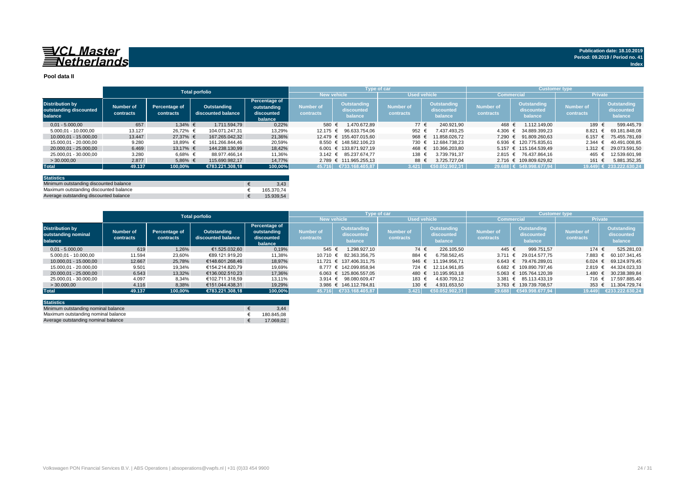#### **Pool data II**

|                                                             |                        |                            | <b>Total porfolio</b>             |                                                       |                               |                                      | Type of car                   |                                      | <b>Customer type</b>          |                                             |                                      |                                      |
|-------------------------------------------------------------|------------------------|----------------------------|-----------------------------------|-------------------------------------------------------|-------------------------------|--------------------------------------|-------------------------------|--------------------------------------|-------------------------------|---------------------------------------------|--------------------------------------|--------------------------------------|
|                                                             |                        |                            |                                   |                                                       | <b>New vehicle</b>            |                                      | <b>Used vehicle</b>           |                                      | <b>Commercial</b>             |                                             | <b>Private</b>                       |                                      |
| <b>Distribution by</b><br>outstanding discounted<br>balance | Number of<br>contracts | Percentage of<br>contracts | Outstanding<br>discounted balance | Percentage of<br>outstanding<br>discounted<br>balance | <b>Number of</b><br>contracts | Outstanding<br>discounted<br>balance | <b>Number of</b><br>contracts | Outstanding<br>discounted<br>balance | <b>Number of</b><br>contracts | <b>Outstanding</b><br>discounted<br>balance | <b>Number of</b><br><b>contracts</b> | Outstanding<br>discounted<br>balance |
| $0.01 - 5.000.00$                                           | 657                    | $1.34\%$ €                 | 1.711.594.79                      | 0,22%                                                 | 580 €                         | 1.470.672.89                         | 77 €                          | 240.921.90                           | 468 €                         | 1.112.149.00                                | 189                                  | 599.445.79                           |
| 5.000,01 - 10.000,00                                        | 13.127                 | 26.72% €                   | 104.071.247.31                    | 13,29%                                                | 12.175 €                      | 96.633.754.06                        | 952 €                         | 7.437.493.25                         |                               | 4.306 € 34.889.399.23                       | 8.821                                | 69.181.848.08                        |
| 10.000.01 - 15.000.00                                       | 13.447                 | 27.37% €                   | 167.265.042.32                    | 21,36%                                                |                               | 12.479 € 155.407.015.60              | 968 €                         | 11.858.026.72                        |                               | 7.290 € 91.809.260.63                       | 6.157                                | 75.455.781.69                        |
| 15.000,01 - 20.000,00                                       | 9.280                  | 18,89% €                   | 161.266.844.46                    | 20,59%                                                |                               | 8.550 € 148.582.106.23               | 730                           | 12.684.738.23                        |                               | 6.936 € 120.775.835.61                      | 2.344                                | 40.491.008.85                        |
| 20.000.01 - 25.000.00                                       | 6.469                  | 13.17% €                   | 144.238.130.99                    | 18,42%                                                |                               | 6.001 € 133.871.927.19               | 468                           | 10.366.203.80                        |                               | 5.157 € 115.164.539.49                      | 1.312                                | 29.073.591,50                        |
| 25.000.01 - 30.000.00                                       | 3.280                  | 6,68% €                    | 88.977.466.14                     | 11,36%                                                |                               | 3.142 € 85.237.674.77                | 138 €                         | 3.739.791.37                         |                               | 2.815 € 76.437.864.16                       | 465                                  | 12.539.601.98                        |
| > 30,000,00                                                 | 2.877                  | 5,86% €                    | 115.690.982.17                    | 14.77%                                                |                               | 2.789 € 111.965.255.13               | 88 €                          | 3.725.727.04                         |                               | 2.716 € 109.809.629.82                      | 161                                  | 5.881.352.35                         |
| <b>Total</b>                                                | 49.137                 | 100,00%                    | €783.221.308.18                   | 100,00%                                               |                               | 45.716 €733.168.405,87               | 3.421                         | €50.052.902.31                       |                               | 29.688 € 549.998.677,94                     |                                      | 19.449 € 233.222.630,24              |
|                                                             |                        |                            |                                   |                                                       |                               |                                      |                               |                                      |                               |                                             |                                      |                                      |

| <b>Statistics</b>                      |            |
|----------------------------------------|------------|
| Minimum outstanding discounted balance | 3.43       |
| Maximum outstanding discounted balance | 165.370.74 |
| Average outstanding discounted balance | 15.939.54  |

|                                                          |                        |                            | <b>Total porfolio</b>             |                                                              |                        | <b>Type of car</b>                   |                               |                                      | <b>Customer type</b>          |                                      |                               |                                      |
|----------------------------------------------------------|------------------------|----------------------------|-----------------------------------|--------------------------------------------------------------|------------------------|--------------------------------------|-------------------------------|--------------------------------------|-------------------------------|--------------------------------------|-------------------------------|--------------------------------------|
|                                                          |                        |                            |                                   |                                                              |                        | <b>New vehicle</b>                   |                               | <b>Used vehicle</b>                  |                               | <b>Commercial</b>                    | <b>Private</b>                |                                      |
| <b>Distribution by</b><br>outstanding nominal<br>balance | Number of<br>contracts | Percentage of<br>contracts | Outstanding<br>discounted balance | <b>Percentage of</b><br>outstanding<br>discounted<br>balance | Number of<br>contracts | Outstanding<br>discounted<br>balance | <b>Number of</b><br>contracts | Outstanding<br>discounted<br>balance | <b>Number of</b><br>contracts | Outstanding<br>discounted<br>balance | <b>Number of</b><br>contracts | Outstanding<br>discounted<br>balance |
| $0.01 - 5.000.00$                                        | 619                    | 1.26%                      | €1.525.032.60                     | 0,19%                                                        | 545 €                  | 1.298.927.10                         | 74 €                          | 226.105.50                           | 445 €                         | 999.751.57                           | 174 €                         | 525.281,03                           |
| 5.000.01 - 10.000.00                                     | 11.594                 | 23,60%                     | €89.121.919.20                    | 11,38%                                                       | 10.710 €               | 82.363.356.75                        | 884                           | 6.758.562.45                         | 3.711 $\epsilon$              | 29.014.577.75                        | 7.883 €                       | 60.107.341.45                        |
| 10.000.01 - 15.000.00                                    | 12.667                 | 25,78%                     | €148.601.268.46                   | 18,97%                                                       |                        | 11.721 € 137.406.311.75              | 946 €                         | 11.194.956.71                        |                               | $6.643 \in 79.476.289.01$            | $6.024 \text{ } \in$          | 69.124.979.45                        |
| 15.000.01 - 20.000.00                                    | 9.501                  | 19.34%                     | €154.214.820.79                   | 19.69%                                                       |                        | 8.777 € 142.099.858.94               | 724 €                         | 12.114.961.85                        |                               | 6.682 € 109.890.797.46               | $2.819$ €                     | 44.324.023.33                        |
| 20.000.01 - 25.000.00                                    | 6.543                  | 13,32%                     | €136.002.510.23                   | 17.36%                                                       |                        | 6.063 € 125.806.557.05               | 480 €                         | 10.195.953.18                        |                               | 5.063 € 105.764.120.39               | 1.480 €                       | 30.238.389.84                        |
| 25.000.01 - 30.000.00                                    | 4.097                  | 8,34%                      | €102.711.318.59                   | 13.11%                                                       |                        | 3.914 € 98.080.609.47                | 183                           | 4.630.709.12                         |                               | $3.381 \in 85.113.433.19$            | 716 €                         | 17.597.885.40                        |
| >30.000,00                                               | 4.116                  | 8,38%                      | €151.044.438.31                   | 19.29%                                                       |                        | 3.986 € 146.112.784.81               | 130 €                         | 4.931.653.50                         |                               | 3.763 € 139.739.708.57               |                               | 353 € 11.304.729.74                  |
| <b>Total</b>                                             | 49.137                 | 100.00%                    | €783.221.308.18                   | 100.00%                                                      | 45.716                 | €733.168.405,87                      | 3.421                         | €50.052.902.31                       | 29.688                        | 6549.998.677.94                      | 19.449                        | €233.222.630.24                      |

| <b>Statistics</b>                   |            |
|-------------------------------------|------------|
| Minimum outstanding nominal balance | 3.44       |
| Maximum outstanding nominal balance | 180.845.08 |
| Average outstanding nominal balance | 17.069.02  |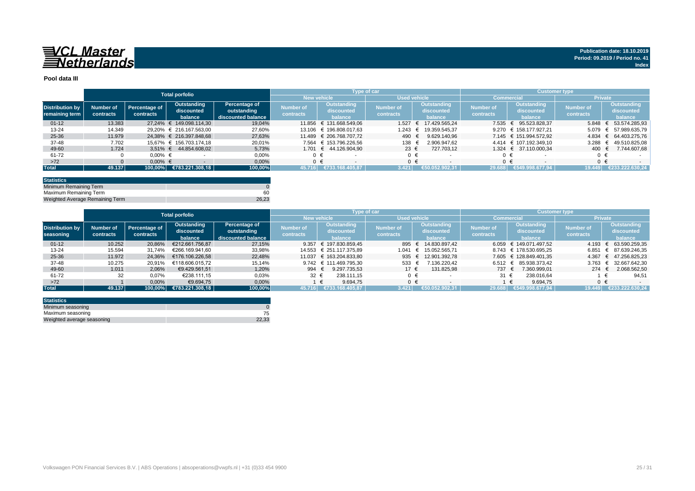

#### **Pool data III**

|                        |           |               | <b>Total porfolio</b>      |                    |                  |                         | Type of car         |                          | Customer type,   |                        |                |                 |
|------------------------|-----------|---------------|----------------------------|--------------------|------------------|-------------------------|---------------------|--------------------------|------------------|------------------------|----------------|-----------------|
|                        |           |               |                            |                    |                  | <b>New vehicle</b>      | <b>Used vehicle</b> |                          | Commercia        |                        | <b>Private</b> |                 |
| <b>Distribution by</b> | Number of | Percentage of | Outstanding                | Percentage of      | <b>Number of</b> | <b>Outstanding</b>      | <b>Number of</b>    | Outstanding              | <b>Number of</b> | Outstanding            | Number of      | Outstanding     |
| remaining term         |           | contracts     | discounted                 | outstanding        | contracts        | discounted              | contracts           | discounted               | contracts        | discounted             | contracts      | discounted      |
|                        | contracts |               | balance                    | discounted balance |                  | balance                 |                     | balance                  |                  | balance                |                | balance         |
| $01 - 12$              | 13.383    |               | 27.24% € 149.098.114.30    | 19.04%             |                  | 11.856 € 131.668.549.06 | 1.527               | 17.429.565.24            | 7.535            | 95.523.828.37          | 5.848 $€$      | 53.574.285.93   |
| $13 - 24$              | 14.349    |               | 29,20% € 216.167.563,00    | 27,60%             |                  | 13.106 € 196.808.017.63 | 1.243               | 19.359.545.37            |                  | 9.270 € 158.177.927.21 | $5.079 \in$    | 57.989.635,79   |
| 25-36                  | 11.979    |               | 24.38% € 216.397.848.68    | 27,63%             |                  | 11.489 € 206.768.707.72 | 490                 | 9.629.140.96             |                  | 7.145 € 151.994.572.92 | $4.834 \in$    | 64.403.275.76   |
| 37-48                  | 7.702     |               | 15.67% € 156.703.174.18    | 20,01%             |                  | 7.564 € 153.796.226.56  | 138                 | 2.906.947.62             |                  | 4.414 € 107.192.349.10 | 3.288          | 49.510.825,08   |
| 49-60                  | 1.724     |               | $3.51\% \in 44.854.608.02$ | 5.73%              |                  | 1.701 € 44.126.904.90   | 23 $\epsilon$       | 727.703.12               |                  | 1.324 € 37.110.000.34  | 400            | 7.744.607.68    |
| 61-72                  |           | $0.00\%$ €    |                            | 0,00%              |                  |                         | $0 \in$             |                          |                  | $0 \in$                |                |                 |
| $>72$                  |           | $0.00\%$ €    |                            | 0,00%              |                  |                         | $0 \in$             | $\overline{\phantom{a}}$ |                  | $0 \in$                |                | $0 \in$         |
| <b>Total</b>           | 49.137    |               | 100,00% €783.221.308,18    | 100,00%            | 45.716           | €733.168.405.87         | 3.421               | 052.902.31<br>€50.0      | 29.688           | €549.998.677.94        | 19.449         | €233.222.630.24 |

| <b>Statistics</b>               |       |
|---------------------------------|-------|
| Minimum Remaining Term          |       |
| Maximum Remaining Term          | 60    |
| Weighted Average Remaining Term | 26.23 |

|                        |           |                      | <b>Total porfolio</b>            |                    |                    |                         | Type of car         |                     | <b>Customer type</b> |                        |                  |                             |
|------------------------|-----------|----------------------|----------------------------------|--------------------|--------------------|-------------------------|---------------------|---------------------|----------------------|------------------------|------------------|-----------------------------|
|                        |           |                      |                                  |                    | <b>New vehicle</b> |                         | <b>Used vehicle</b> |                     |                      | <b>Commercial</b>      | <b>Private</b>   |                             |
|                        |           |                      | Outstanding                      | Percentage of      | Number of          | Outstanding             |                     | <b>Outstanding</b>  | <b>Number of</b>     | <b>Outstanding</b>     | <b>Number of</b> | Outstanding                 |
| <b>Distribution by</b> | Number of | <b>Percentage of</b> | discounted                       | outstanding        |                    | discounted              | Number of           | discounted          |                      | discounted             |                  | discounted                  |
| seasoning              | contracts | contracts            | balance                          | discounted balance | contracts          | balance                 | contracts           | balance             | contracts            | balance                | contracts        | balance                     |
| $01 - 12$              | 10.252    | 20,86%               | €212.661.756.87                  | 27,15%             | 9.357              | € 197.830.859.45        |                     | 895 € 14.830.897.42 |                      | 6.059 € 149.071.497.52 |                  | 4.193 € 63.590.259,35       |
| $13 - 24$              | 15.594    | 31.74%               | €266.169.941.60                  | 33,98%             |                    | 14.553 € 251.117.375.89 | 1.041               | 15.052.565.71       |                      | 8.743 € 178.530.695.25 | 6.851            | € 87.639.246.35             |
| 25-36                  | 11.972    | 24.36%               | €176.106.226.58                  | 22,48%             |                    | 11.037 € 163.204.833.80 |                     | 935 € 12.901.392,78 |                      | 7.605 € 128.849.401,35 |                  | 4.367 € 47.256.825,23       |
| 37-48                  | 10.275    | 20.91%               | €118.606.015.72                  | 15.14%             |                    | 9.742 € 111.469.795.30  | 533 $\epsilon$      | 7.136.220.42        | 6.512                | 85.938.373.42          | 3.763            | 32.667.642.30<br>$\epsilon$ |
| 49-60                  | 1.011     | 2,06%                | €9.429.561.51                    | 1,20%              | 994 €              | 9.297.735.53            | 17 €                | 131.825,98          | 737 €                | 7.360.999.01           | $274 \in$        | 2.068.562,50                |
| 61-72                  |           | 0,07%                | €238.111.15                      | 0,03%              | 32 $\epsilon$      | 238.111.15              | $0 \in$             |                     | $31 \in$             | 238.016.64             |                  | 94.51                       |
| $>72$                  |           | 0,00%                | €9.694.75                        | 0,00%              |                    | 9.694.75<br>€           | $0 \in$             |                     |                      | 9.694.75               | $0 \in$          |                             |
| <b>Total</b>           | 49.137    | 100.00%              | $\left  \right $ €783.221.308,18 | 100,00%            | 45.716             | €733.168.405.87         | 3.421               | €50.052.902.31      | 29.688               | €549.998.677.94        | 19.449           | €233.222.630.24             |

| <b>Statistics</b>          |       |
|----------------------------|-------|
| Minimum seasoning          |       |
| Maximum seasoning          |       |
| Weighted average seasoning | 22.33 |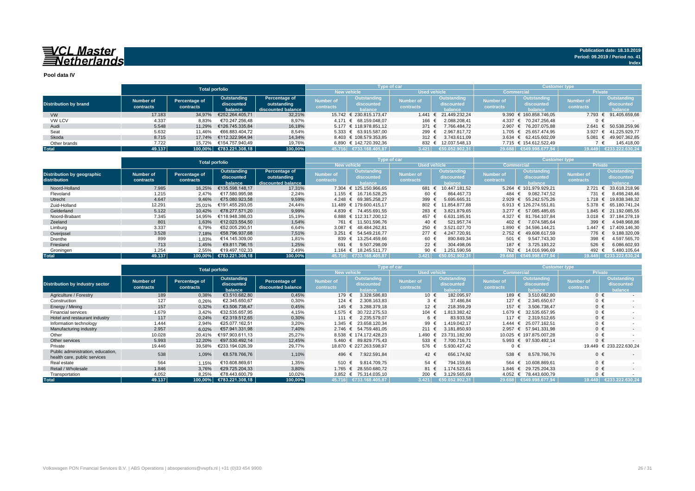**Pool data IV**

|                              |           |               | <b>Total porfolio</b>   |                    |                  | Type of car                        |                     |                          | <b>Customer type</b> |                           |                  |                        |  |  |
|------------------------------|-----------|---------------|-------------------------|--------------------|------------------|------------------------------------|---------------------|--------------------------|----------------------|---------------------------|------------------|------------------------|--|--|
|                              |           |               |                         |                    |                  | <b>New vehicle</b>                 | <b>Used vehicle</b> |                          | <b>Commercial</b>    |                           | <b>Private</b>   |                        |  |  |
|                              | Number of | Percentage of | Outstanding             | Percentage of      | Number of        | Outstanding                        | <b>Number of</b>    | Outstanding              | <b>Number of</b>     | Outstanding               | <b>Number of</b> | Outstanding            |  |  |
| <b>Distribution by brand</b> |           | contracts     | discounted              | outstanding        |                  | discounted                         | <b>contracts</b>    | discounted               |                      | discounted                | contracts        | discounted             |  |  |
|                              | contracts |               | balance                 | discounted balance | <b>contracts</b> | halance                            |                     | balance                  | contracts            | halance                   |                  | <b>balance</b>         |  |  |
| <b>VW</b>                    | 17.183    | 34.97%        | €252.264.405.71         | 32,21%             |                  | 15.742 € 230.815.173.47            | 1.441               | $\epsilon$ 21.449.232.24 |                      | 9.390 € 160.858.746.05    | 7.793            | € 91.405.659,66        |  |  |
| <b>VW LCV</b>                | 4.337     | 8,83%         | €70.247.256.48          | 8,97%              |                  | 4.171 € 68.159.048.07              | 166 €               | 2.088.208.41             |                      | 4.337 € 70.247.256.48     | $0 \in$          |                        |  |  |
| Audi                         | 5.548     | 11.29%        | €126.745.335.84         | 16,18%             |                  | 5.177 € 118.978.851.12             | 371 $\epsilon$      | 7.766.484.72             |                      | 2.907 € 76.207.075.88     | 2.641            | € 50.538.259,96        |  |  |
| Seat                         | 5.632     | 11.46%        | €66.883.404.72          | 8,54%              |                  | $5.333 \text{ } \in 63.915.587.00$ | 299 €               | 2.967.817.72             |                      | 1.705 € 25.657.474.95     | 3.927            | € 41.225.929.77        |  |  |
| Skoda                        | 8.715     | 17.74%        | €112.322.964.94         | 14.34%             |                  | 8.403 € 108.579.353.85             | 312 $\epsilon$      | 3.743.611.09             |                      | 3.634 $\in$ 62.415.602.09 |                  | 5.081 € 49.907.362,85  |  |  |
| Other brands                 | 7.722     | 15.72%        | €154.757.940.49         | 19.76%             |                  | 6.890 € 142.720.392.36             |                     | 832 € 12.037.548.13      |                      | 7.715 € 154.612.522.49    |                  | 145.418.00             |  |  |
| <b>Total</b>                 | 49.137    |               | 100,00% €783.221.308,18 | 100,00%            |                  | 45.716 €733.168.405,87             | 3.421               | €50.052.902.31           |                      | 29.688 €549.998.677.94    |                  | 19.449 €233.222.630.24 |  |  |

|                                            |                        | <b>Total porfolio</b>                                                                                                    |                 |                               |                                      |                               | Type of car                                 |                | <b>Customer type</b>                        |                        |                                                    |                             |  |
|--------------------------------------------|------------------------|--------------------------------------------------------------------------------------------------------------------------|-----------------|-------------------------------|--------------------------------------|-------------------------------|---------------------------------------------|----------------|---------------------------------------------|------------------------|----------------------------------------------------|-----------------------------|--|
|                                            |                        |                                                                                                                          |                 |                               |                                      | <b>New vehicle</b>            | <b>Used vehicle</b>                         |                |                                             | Commercial             | <b>Private</b>                                     |                             |  |
| Distribution by geographic<br>distribution | Number of<br>contracts | Percentage of<br>Outstanding<br>Percentage of<br>outstanding<br>discounted<br>contracts<br>discounted balance<br>balance |                 | <b>Number of</b><br>contracts | Outstanding<br>discounted<br>halance | <b>Number of</b><br>contracts | <b>Outstanding</b><br>discounted<br>balance |                | Outstanding<br>discounted<br><b>balance</b> | Number of<br>contracts | <b>Outstanding</b><br>discounted<br><b>balance</b> |                             |  |
| Noord-Holland                              | 7.985                  | 16.25%                                                                                                                   | €135.598.148.17 | 17,31%                        |                                      | 7.304 € 125.150.966.65        | 681 €                                       | 10.447.181.52  |                                             | 5.264 € 101.979.929,21 | 2.721                                              | 33.618.218,96               |  |
| Flevoland                                  | 1.215                  | 2.47%                                                                                                                    | €17.580.995.98  | 2,24%                         |                                      | 1.155 € 16.716.528.25         | 60 €                                        | 864.467.73     | 484 €                                       | 9.082.747.52           | 731 €                                              | 8.498.248,46                |  |
| Utrecht                                    | 4.647                  | 9,46%                                                                                                                    | €75.080.923.58  | 9,59%                         |                                      | 4.248 € 69.385.258.27         | 399 $\epsilon$                              | 5.695.665.31   |                                             | 2.929 € 55.242.575.26  | 1.718                                              | 19.838.348.32               |  |
| Zuid-Holland                               | 12.291                 | 25,01%                                                                                                                   | €191.455.293.05 | 24,44%                        |                                      | 11.489 € 179.600.415.17       | 802 €                                       | 11.854.877.88  |                                             | 6.913 € 126.274.551.81 | 5.378                                              | € 65.180.741.24             |  |
| Gelderland                                 | 5.122                  | 10.42%                                                                                                                   | €78.277.571.20  | 9,99%                         |                                      | 4.839 € 74.455.691.55         | 283 $\epsilon$                              | 3.821.879.65   | $3.277$ €                                   | 57.085.485.65          | $1.845 \in$                                        | 21.192.085.55               |  |
| Noord-Brabant                              | 7.345                  | 14.95%                                                                                                                   | €118.948.386.03 | 15,19%                        |                                      | 6.888 € 112.317.200.12        | 457 €                                       | 6.631.185.91   |                                             | 4.327 € 81.764.107.84  | 3.018                                              | 37.184.278.19<br>$\epsilon$ |  |
| Zeeland                                    | 801                    | 1,63%                                                                                                                    | €12.023.554.50  | 1,54%                         |                                      | 761 € 11.501.596.76           | 40 €                                        | 521.957.74     | 402 $\in$                                   | 7.074.585.64           | 399 $\epsilon$                                     | 4.948.968.86                |  |
| Limburg                                    | 3.337                  | 6,79%                                                                                                                    | €52.005.290.51  | 6,64%                         |                                      | 3.087 € 48.484.262.81         | 250 €                                       | 3.521.027.70   | 1.890 €                                     | 34.596.144.21          | 1.447                                              | 17.409.146.30               |  |
| Overijssel                                 | 3.528                  | 7,18%                                                                                                                    | €58.796.937.68  | 7,51%                         |                                      | 3.251 € 54.549.216.77         | $277 \t∈$                                   | 4.247.720.91   | $2.752 \in$                                 | 49.608.617.59          | 776 €                                              | 9.188.320.09                |  |
| Drenthe                                    | 899                    | 1,83%                                                                                                                    | €14.145.309.00  | 1,81%                         | 839 €                                | 13.254.459.66                 | 60 €                                        | 890.849.34     | 501 €                                       | 9.547.743.30           | 398                                                | 4.597.565,70                |  |
| Friesland                                  | 713                    | 1.45%                                                                                                                    | €9.811.796.15   | 1,25%                         | 691 €                                | 9.507.298.09                  | 22 €                                        | 304.498.06     | 187 €                                       | 3.725.193.22           | 526 €                                              | 6.086.602,93                |  |
| Groningen                                  | 1.254                  | 2,55%                                                                                                                    | €19.497.102,33  | 2,49%                         | 1.164 €                              | 18.245.511.77                 | 90 €                                        | 1.251.590,56   | 762 €                                       | 14.016.996,69          | 492 €                                              | 5.480.105,64                |  |
| <b>Total</b>                               | 49.137                 | 100.00%                                                                                                                  | €783.221.308.18 | 100,00%                       | 45.716                               | €733.168.405.87               | 3.421                                       | €50.052.902.31 |                                             | 29.688 €549.998.677.94 | 19.449                                             | €233.222.630.24             |  |

|                                                                   |                               | <b>Total porfolio</b>      |                                      |                                     |                                      |                                             | Type of car                   |                                             | <b>Customer type</b>          |                                             |                        |                                             |  |  |
|-------------------------------------------------------------------|-------------------------------|----------------------------|--------------------------------------|-------------------------------------|--------------------------------------|---------------------------------------------|-------------------------------|---------------------------------------------|-------------------------------|---------------------------------------------|------------------------|---------------------------------------------|--|--|
|                                                                   |                               |                            |                                      |                                     |                                      | <b>New vehicle</b>                          | <b>Used vehicle</b>           |                                             | <b>Commercia</b>              |                                             | <b>Private</b>         |                                             |  |  |
| <b>Distribution by industry sector</b>                            | <b>Number of</b><br>contracts | Percentage of<br>contracts | Outstanding<br>discounted<br>balance | Percentage of<br>discounted balance | <b>Number of</b><br><b>contracts</b> | <b>Outstanding</b><br>discounted<br>balance | <b>Number of</b><br>contracts | <b>Outstanding</b><br>discounted<br>balance | <b>Number of</b><br>contracts | <b>Outstanding</b><br>discounted<br>balance | Number of<br>contracts | <b>Outstanding</b><br>discounted<br>balance |  |  |
| Agriculture / Forestry                                            | 189                           | 0,38%                      | €3.510.682.80                        | 0,45%                               | 179 €                                | 3.328.586,83                                | 10 €                          | 182.095,97                                  | 189 €                         | 3.510.682.80                                | $0 \in$                |                                             |  |  |
| Construction                                                      | 127                           | 0,26%                      | €2.345.650,67                        | 0,30%                               | 124                                  | 2.308.163,83                                | $3 \in$                       | 37.486,84                                   | 127 €                         | 2.345.650.67                                | $0 \in$                |                                             |  |  |
| Energy / Mining                                                   | 157                           | 0,32%                      | €3.506.738.47                        | 0,45%                               | 145 €                                | 3.288.379.18                                | 12 €                          | 218.359.29                                  | 157 €                         | 3.506.738.47                                | $0 \in$                | $\sim$                                      |  |  |
| <b>Financial services</b>                                         | 1.679                         | 3,42%                      | €32.535.657.95                       | 4,15%                               | 1.575 €                              | 30.722.275.53                               | 104 €                         | .813.382.42                                 | 1.679 €                       | 32.535.657,95                               | $0 \in$                |                                             |  |  |
| Hotel and restaurant industry                                     | 117                           | 0,24%                      | €2.319.512,65                        | 0,30%                               | 111 €                                | 2.235.579.07                                | 6 €                           | 83.933,58                                   | 117 €                         | 2.319.512.65                                | $0 \in$                | $\sim$                                      |  |  |
| Information technology                                            | 1.444                         | 2,94%                      | €25.077.162.51                       | 3,20%                               | 1.345 €                              | 23.658.120,34                               | 99 €                          | .419.042.17                                 | 1.444 €                       | 25.077.162.51                               | $0 \in$                |                                             |  |  |
| Manufacturing industry                                            | 2.957                         | 6,02%                      | €57.941.331,98                       | 7,40%                               |                                      | 2.746 € 54.759.481.05                       | $211$ €                       | 3.181.850,93                                | $2.957 \in$                   | 57.941.331.98                               | $0 \in$                |                                             |  |  |
| Other                                                             | 10.028                        | 20.41%                     | €197.903.611.13                      | 25,27%                              |                                      | 8.538 € 174.172.428,23                      | 1.490                         | 23.731.182.90                               |                               | 10.025 € 197.875.007.28                     | $0 \in$                |                                             |  |  |
| Other services                                                    | 5.993                         | 12,20%                     | €97.530.492.14                       | 12.45%                              |                                      | 5.460 € 89.829.775.43                       | 533 $\epsilon$                | 7.700.716.71                                | $5.993$ €                     | 97.530.492.14                               | $0 \in$                |                                             |  |  |
| Private                                                           | 19.446                        | 39,58%                     | €233.194.026,39                      | 29,77%                              |                                      | 18.870 € 227.263.598.97                     | 576 €                         | 5.930.427.42                                | $0 \in$                       |                                             |                        | 19.449 € 233.222.630.24                     |  |  |
| Public administration, education,<br>health care, public services | 538                           | 1,09%                      | €8.578.766,76                        | 1,10%                               | 496 €                                | 7.922.591,84                                | 42 €                          | 656.174.92                                  | 538 €                         | 8.578.766.76                                | $0 \in$                |                                             |  |  |
| Real estate                                                       | 564                           | 1,15%                      | €10.608.869.61                       | 1.35%                               | 510 €                                | 9.814.709.75                                | 54 €                          | 794.159.86                                  | 564 €                         | 10.608.869.61                               | $0 \in$                |                                             |  |  |
| Retail / Wholesale                                                | 1.846                         | 3,76%                      | €29.725.204.33                       | 3,80%                               | 1.765 €                              | 28.550.680,72                               | 81 €                          | .174.523.61                                 | 1.846 $∈$                     | 29.725.204.33                               | $0 \in$                | $\sim$                                      |  |  |
| Transportation                                                    | 4.052                         | 8,25%                      | €78.443.600,79                       | 10,02%                              |                                      | 3.852 € 75.314.035.10                       | 200 $\epsilon$                | 3.129.565,69                                |                               | 4.052 € 78.443.600,79                       | $0 \in$                |                                             |  |  |
| <b>Total</b>                                                      | 49.137                        | 100,00%                    | €783.221.308,18                      | 100,00%                             |                                      | 45.716 €733.168.405.87                      | 3.421                         | ∈50.052.902.31∜                             |                               | 29.688 €549.998.677.94                      | 19.449                 | €233.222.630.24                             |  |  |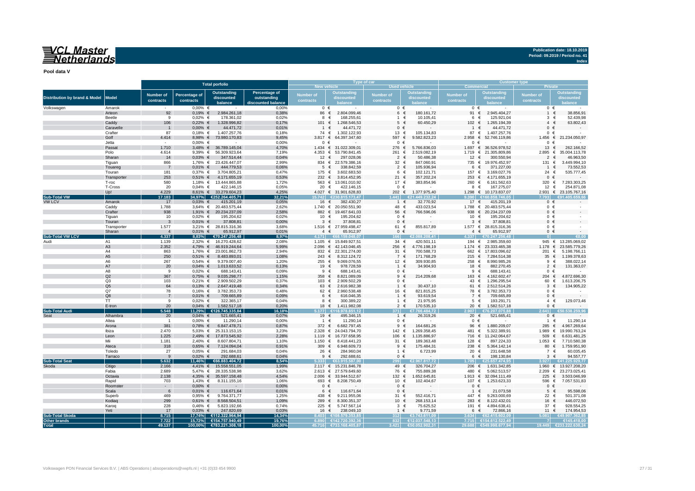**Pool data V**

|                                          |                      |                               |                            |                                                   |                                                  |                               | Type of car                                     |                        |                                        | <b>Customer type</b>          |                                                 |                         |                                            |  |  |
|------------------------------------------|----------------------|-------------------------------|----------------------------|---------------------------------------------------|--------------------------------------------------|-------------------------------|-------------------------------------------------|------------------------|----------------------------------------|-------------------------------|-------------------------------------------------|-------------------------|--------------------------------------------|--|--|
|                                          |                      |                               |                            | <b>Total porfolio</b>                             |                                                  | <b>New vehicle</b>            |                                                 | <b>Used vehicle</b>    |                                        | Commercial                    |                                                 |                         |                                            |  |  |
| <b>Distribution by brand &amp; Model</b> | <b>Model</b>         | <b>Number</b> of<br>contracts | Percentage of<br>contracts | <b>Outstanding</b><br>discounted<br>balance       | Percentage of<br>outstanding<br>scounted balance | <b>Number of</b><br>contracts | <b>Outstanding</b><br>discounted                | Number of<br>contracts | <b>Outstanding</b><br>discounted       | <b>Number of</b><br>contracts | <b>Outstanding</b><br>discounted                | Number of<br>contracts  | <b>Outstanding</b><br>discounted<br>alance |  |  |
| Volkswagen                               | Amarok               |                               | $0,00%$ €                  |                                                   | 0,00%                                            | $0 \in$                       |                                                 | $0 \in$                |                                        | $0 \in$                       |                                                 |                         | $0 \in$                                    |  |  |
|                                          | Arteon               | 92                            | $0,19%$ €                  | 2.984.261,18                                      | 0,38%                                            | 86                            | €<br>2.804.099,46                               | 6 €                    | 180.161,72                             | 91                            | €<br>2.945.404,27                               | $\mathbf{1}$            | 38.856,91<br>€                             |  |  |
|                                          | Beetle               | 9                             | $0,02%$ €                  | 178.361,02                                        | 0,02%                                            | 8                             | €<br>168.255,61                                 | $1 \in$                | 10.105,41                              | 6                             | 125.921,04<br>€                                 | 3<br>$\Delta$           | 52.439,98<br>€<br>$\epsilon$               |  |  |
|                                          | Caddy<br>Caravelle   | 106                           | $0,22%$ €<br>$0,00%$ €     | 1.328.996,82<br>44.471,72                         | 0,17%<br>0,01%                                   | 101 €<br>$\overline{1}$       | 1.268.546,53<br>€<br>44.471,72                  | $5 \in$<br>$0 \in$     | 60.450,29                              | 102 €<br>$1 \in$              | 1.265.194,39<br>44.471,72                       | $\mathbf{0}$            | 63.802,43<br>€                             |  |  |
|                                          | Crafter              | $\overline{1}$<br>87          | $0,18%$ €                  | 1.407.257,76                                      | 0,18%                                            | 74 €                          | 1.302.122,93                                    | 13 €                   | 105.134,83                             | 87 €                          | 1.407.257,76                                    |                         | $0 \in$                                    |  |  |
|                                          | Golf                 | 4.414                         |                            | 8.98% € 73.980.170.83                             | 9,45%                                            | 3.817 $\in$                   | 64.397.347.60                                   | 597 €                  | 9.582.823.23                           |                               | 2.958 € 52.746.119,86                           | 1.456 €                 | 21.234.050.97                              |  |  |
|                                          | Jetta                |                               | $0.00\%$ €                 |                                                   | 0,00%                                            | $0 \in$                       |                                                 | $0 \in$                |                                        | $0 \in$                       |                                                 | $\mathbf{0}$            | €                                          |  |  |
|                                          | Passat               | 1.710                         |                            | 3,48% € 36.789.145,04                             | 4,70%                                            | $1.434 \t∈$                   | 31.022.309,01                                   | 276 €                  | 5.766.836,03                           |                               | 1.697 € 36.526.978,52                           | 13                      | €<br>262.166,52                            |  |  |
|                                          | Polo                 | 4.614                         |                            | 9,39% € 56.309.923,64                             | 7,19%                                            | $4.353 \in$                   | 53.790.841,45                                   | 261                    | €<br>2.519.082,19                      | 1.719                         | €<br>21.305.809,86                              | 2.895                   | €<br>35.004.113,78                         |  |  |
|                                          | Sharan               | 14                            | $0,03%$ €                  | 347.514,44                                        | 0,04%                                            | 12 €                          | 297.028,06                                      | $\overline{2}$         | 50.486,38                              | 12                            | €<br>300.550,94                                 | 2                       | 46.963,50<br>€                             |  |  |
|                                          | Tiguan               | 866                           |                            | 1,76% € 23.426.447,07                             | 2,99%                                            | 834 €                         | 22.579.386,16                                   | 32 €                   | 847.060,91                             |                               | 735 € 19.976.452,97                             | 131 €<br>$\overline{1}$ | 3.449.994,10                               |  |  |
|                                          | Touareg<br>Touran    | $\overline{7}$<br>181         | $0,01\%$ €<br>$0,37%$ €    | 444.779,53<br>3.704.805,21                        | 0,06%<br>0,47%                                   | $5 \in$<br>175 €              | 338.842,59<br>3.602.683,50                      | $2 \in$<br>6 €         | 105.936,94<br>102.121,71               | 6<br>157 €                    | 371.227,00<br>€<br>3.169.027,76                 |                         | 73.552,53<br>€<br>535.777,45<br>24 €       |  |  |
|                                          | Transporter          | 253                           | $0.51\%$ €                 | 4.171.655,19                                      | 0,53%                                            |                               | 232 € 3.814.452,95                              | 21 €                   | 357.202,24                             |                               | 253 € 4.171.655,19                              |                         | $0 \in$                                    |  |  |
|                                          | T-roc                | 580                           |                            | 1,18% € 13.444.865,88                             | 1,72%                                            |                               | 563 € 13.061.010,92                             | 17 €                   | 383.854,96                             |                               | 260 € 6.161.562,63                              | 320                     | €<br>7.283.303,25                          |  |  |
|                                          | T-Cross              | 20                            | $0.04\%$ €                 | 422.146,15                                        | 0,05%                                            | 20 €                          | 422.146,15                                      | $0 \in$                |                                        |                               | 167.275,07<br>8 €                               | 12                      | 254.871,08<br>€                            |  |  |
|                                          | Up!                  | 4.229                         |                            | 8,61% € 33.279.604,23                             | 4,25%                                            |                               | 4.027 € 31.901.628,83                           | 202 $\epsilon$         | 1.377.975,40                           |                               | 1.298 € 10.173.837,07                           |                         | 2.931 € 23.105.767,16                      |  |  |
| <b>Sub-Total VW</b>                      |                      | 17.183                        | 34.97%                     | €252.264.405,71                                   | 32.21%                                           | 5.742                         | €230.815.173.47                                 | 441                    | €21.449.232.24                         | 9.390                         | €160.858.746.05                                 |                         |                                            |  |  |
| <b>VW LCV</b>                            | Amarok               | 17                            | $0,03%$ €                  | 415.201,19                                        | 0,05%                                            | 16 €                          | 382.430,27                                      | $1 \in$                | 32.770,92                              | 17 €                          | 415.201,19                                      |                         | $0 \in$                                    |  |  |
|                                          | Caddy<br>Crafter     | 1.788<br>938                  |                            | 3,64% € 20.483.575,44<br>1,91% € 20.234.237,09    | 2,62%<br>2,58%                                   |                               | 1.740 € 20.050.551,90<br>882 € 19.467.641,03    | 48<br>56 €             | 433.023,54<br>€<br>766.596,06          | 938                           | 1.788 € 20.483.575,44<br>€ 20.234.237,09        |                         | $0 \in$<br>$0 \in$                         |  |  |
|                                          | Tiguan               | 10                            | $0,02%$ €                  | 195.204,62                                        | 0,02%                                            | 10 €                          | 195.204,62                                      | $0 \in$                |                                        | 10 €                          | 195.204,62                                      |                         | $0 \in$                                    |  |  |
|                                          | Touran               | $\mathbf{3}$                  | $0,01\%$ €                 | 37.808,81                                         | 0,00%                                            |                               | $3 \in$<br>37.808,81                            | $0 \in$                |                                        | $3 \in$                       | 37.808,81                                       |                         | $0 \in$                                    |  |  |
|                                          | Transporter          | 1.577                         |                            | 3,21% € 28.815.316,36                             | 3,68%                                            |                               | 1.516 € 27.959.498,47                           | 61 €                   | 855.817,89                             |                               | 1.577 € 28.815.316,36                           |                         | $0 \in$                                    |  |  |
|                                          | Sharan               | $\overline{4}$                | $0.01\%$ €                 | 65.912,97                                         | 0,01%                                            | $4 \in$                       | 65.912,97                                       | $0 \in$                |                                        | $4 \in$                       | 65.912,97                                       |                         | $0 \in$                                    |  |  |
| Sub-Total VW LCV                         |                      | 4.337                         | 8,83%                      | €70.247.256,48                                    | 8,97%                                            |                               | 159.048.07                                      |                        |                                        | 337                           | €70.247.256,48                                  |                         |                                            |  |  |
| Audi                                     | A1                   | 1.139                         |                            | 2,32% € 16.270.428,62                             | 2,08%                                            |                               | 1.105 € 15.849.927,51                           | 34 €                   | 420.501,11                             | 194 €                         | 2.985.359,60                                    | 945 €                   | 13.285.069.02                              |  |  |
|                                          | A <sub>3</sub>       | 2.352                         |                            | 4.79% € 46.919.244.64                             | 5.99%                                            |                               | 2.096 € 42.143.046.45                           | 256                    | 4.776.198.19<br>$\epsilon$             | $1.174$ €                     | 23.333.465,38                                   | 1.178                   | €<br>23.585.779.26                         |  |  |
|                                          | A4<br>A <sub>5</sub> | 863<br>250                    | $0.51\% \in$               | 1,76% € 23.001.862,73<br>8.483.893,01             | 2,94%<br>1,08%                                   |                               | 832 € 22.301.274,00                             | 31 $\epsilon$<br>7 €   | 700.588,73<br>171.768,29               |                               | 662 € 17.803.096,62<br>215 € 7.284.514,38       | 201 €<br>35             | 5.198.766,11<br>€                          |  |  |
|                                          | A <sub>6</sub>       | 267                           | $0,54%$ €                  | 9.379.007,40                                      | 1,20%                                            | 255 €                         | 243 € 8.312.124,72<br>9.069.076,55              | 12 €                   | 309.930,85                             | 258 €                         | 8.990.985,26                                    | 9                       | 1.199.378,63<br>388.022,14<br>€            |  |  |
|                                          | A7                   | 20                            | $0,04\%$ €                 | 1.013.633,52                                      | 0,13%                                            | 19                            | €<br>978.728,59                                 | $1 \in$                | 34.904,93                              | 18                            | €<br>882.270,45                                 | $\overline{2}$          | 131.363,07<br>$\epsilon$                   |  |  |
|                                          | A8                   | 9                             | $0,02%$ €                  | 688.143,41                                        | 0,09%                                            | $9 \in$                       | 688.143,41                                      | $0 \in$                |                                        | $9 \in$                       | 688.143,41                                      |                         | $0 \in$                                    |  |  |
|                                          | Q2                   | 367                           | $0,75%$ €                  | 9.035.298,77                                      | 1,15%                                            | 358                           | €<br>8.821.089,09                               | $9 \in$                | 214.209,68                             | 163                           | €<br>4.162.602,47                               | 204                     | 4.872.696,30<br>€                          |  |  |
|                                          | Q3                   | 103                           | $0,21%$ €                  | 2.909.502,29                                      | 0,37%                                            | 103 €                         | 2.909.502,29                                    | $0 \in$                |                                        | 43                            | €<br>1.296.295,54                               | 60                      | 1.613.206,75<br>€                          |  |  |
|                                          | Q <sub>5</sub>       | 64                            | $0.13\%$ €                 | 2.647.419,48                                      | 0,34%                                            | 63 €                          | 2.616.982,38                                    | $1 \in$                | 30.437,10                              | 61 €                          | 2.512.514,26                                    | 3                       | 134.905,22<br>€                            |  |  |
|                                          | O7<br>Q8             | 78                            | $0,16%$ €                  | 3.782.353,73<br>709.665,89                        | 0,48%<br>0,09%                                   | 62 €<br>6 €                   | 2.960.538,48                                    | 16 €<br>$1 \in$        | 821.815,25<br>93.619,54                | 78 €<br>7 €                   | 3.782.353,73<br>709.665,89                      |                         | $0 \in$<br>$0 \in$                         |  |  |
|                                          | <b>TT</b>            | $\overline{7}$<br>9           | $0.01\%$ €<br>$0.02\%$ €   | 322.365,17                                        | 0.04%                                            | 8 €                           | 616.046,35<br>300.389.22                        | 1 €                    | 21.975,95                              | $5 \epsilon$                  | 193.291,71                                      |                         | 129.073,46<br>$4 \in$                      |  |  |
|                                          | E-tron               | 20                            | $0.04\%$ €                 | 1.582.517,18                                      | 0,20%                                            | 18 €                          | 1.411.982,08                                    | $2 \in$                | 170.535,10                             | 20 €                          | 1.582.517,18                                    |                         | $0 \in$                                    |  |  |
| <b>Sub-Total Audi</b>                    |                      | 5.548                         |                            | 11,29% €126.745.335,84                            | 16,18%                                           | .177                          | €118.978.851,12                                 | 371                    | €7.766.484,72                          | 907                           | €76.207.075,88                                  | 2.641                   | 538.259.96                                 |  |  |
|                                          | Alhambra             | 20                            | $0,04\%$ €                 | 521.665,41                                        | 0,07%                                            | 19 €                          | 495.346,15                                      | $1 \in$                | 26.319,26                              | 20 €                          | 521.665,41                                      |                         | $0 \in$                                    |  |  |
|                                          | Altea                | $\overline{1}$                | $0,00%$ €                  | 11.290,14                                         | 0,00%                                            | $\overline{1}$                | 11.290,14<br>€                                  | $0 \in$                |                                        | $0 \in$                       |                                                 | $\overline{1}$          | €<br>11.290,14                             |  |  |
|                                          | Arona                | 381                           | $0,78%$ €                  | 6.847.478,71                                      | 0,87%                                            | 372 €                         | 6.682.797,45                                    | $9 \in$                | 164.681,26                             | 96                            | €<br>1.880.209,07                               | 285                     | 4.967.269,64<br>€                          |  |  |
|                                          | Ibiza                | 2.470                         |                            | 5,03% € 25.313.153,15                             | 3,23%                                            | 2.328 ∈                       | 24.043.794,70                                   | 142 €                  | 1.269.358,45                           | 481                           | 5.322.389,91<br>€                               | 1.989                   | €<br>19.990.763,24                         |  |  |
|                                          | Leon<br>Mii          | 1.225<br>1.181                | 2.40% €                    | 2,49% € 17.873.545,92<br>8.607.804,71             | 2,28%<br>1,10%                                   | $1.119$ €<br>1.150 $€$        | 16.737.658,95<br>8.418.441,23                   | 106<br>31 $\epsilon$   | 1.135.886,97<br>€<br>189.363,48        | 716<br>128 €                  | € 11.242.064,67<br>897.224,33                   | 509<br>$1.053$ €        | 6.631.481,25<br>€<br>7.710.580,38          |  |  |
|                                          | Ateca                | 318                           | $0.65%$ €                  | 7.124.094,04                                      | 0,91%                                            | 309 $\epsilon$                | 6.948.609,73                                    | $9 \in$                | 175.484,31                             | 238                           | €<br>5.364.142,14                               | 80                      | 1.759.951.90<br>€                          |  |  |
|                                          | Toledo               | 27                            | $0.05\%$ $\in$             | 291.684,03                                        | 0.04%                                            | 26                            | €<br>284.960,04                                 | 1 €                    | 6.723,99                               | 20 $\epsilon$                 | 231.648,58                                      |                         | 60.035,45<br>7 €                           |  |  |
|                                          | Tarraco              | 9                             | $0.02\% \in$               | 292.688.61                                        | 0.04%                                            | 9                             | €<br>292.688.61                                 | $0 \in$                |                                        | $6 \in$                       | 198.130,84                                      | 3                       | 94.557,77<br>€                             |  |  |
| <b>Sub-Total Seat</b>                    |                      | 5.632                         | 11,46%                     | €66.883.404,72                                    | 8,54%                                            | 5.333                         | €63.915.587.00                                  |                        | €2.967.817,72                          | .705                          | €25.657.474,95                                  | 3.927                   | €41.225.929,77                             |  |  |
| Skoda                                    | Citigo               | 2.166                         |                            | 4,41% € 15.558.551,05                             | 1,99%                                            |                               | 2.117 € 15.231.846,78                           | 49 €                   | 326.704,27                             |                               | 206 € 1.631.342,85                              |                         | 1.960 € 13.927.208,20                      |  |  |
|                                          | Fabia                | 2.689                         |                            | 5,47% € 28.335.538,98                             | 3,62%                                            |                               | 2.613 € 27.579.649,60                           | 76 €                   | 755.889,38                             | 480                           | 5.062.513,57<br>€                               |                         | 2.209 € 23.273.025,41                      |  |  |
|                                          | Octavia              | 2.138                         |                            | 4,35% € 35.597.158,48                             | 4,54%                                            |                               | 2.006 € 33.944.512,67                           | 132 €                  | 1.652.645,81                           |                               | 1.913 € 32.094.111,49                           | 225 €                   | 3.503.046,99                               |  |  |
|                                          | Rapid<br>Roomster    | 703<br>$\sim 10^{-1}$         | 1,43% €<br>$0,00%$ €       | 8.311.155,16                                      | 1,06%<br>0,00%                                   | 693 €<br>$0 \in$              | 8.208.750.49                                    | 10 €<br>$0 \in$        | 102.404,67                             | 107 €<br>$0 \in$              | 1.253.623.33                                    | 596 €                   | 7.057.531.83<br>$0 \in$                    |  |  |
|                                          | Scala                | 6                             | $0.01\%$ €                 | 116.671,64                                        | 0,01%                                            | 6                             | €<br>116.671,64                                 | $0 \in$                |                                        | $\overline{1}$                | €<br>21.073,58                                  | 5                       | 95.598,06<br>€                             |  |  |
|                                          | Superb               | 469                           | $0,95%$ €                  | 9.764.371,77                                      | 1,25%                                            | 438 €                         | 9.211.955,06                                    | 31 €                   | 552.416,71                             | 447                           | €<br>9.263.000,69                               | 22                      | 501.371,08<br>€                            |  |  |
|                                          | Kodiag               | 299                           | $0.61\%$ €                 | 8.568.504,51                                      | 1.09%                                            | 289 €                         | 8.300.351,37                                    | 10 €                   | 268.153,14                             | 283                           | 8.122.432,01<br>€                               | 16                      | 446.072,50<br>€                            |  |  |
|                                          | Karoq                | 228                           | $0,46%$ €                  | 5.823.192,66                                      | 0,74%                                            |                               | 225 € 5.747.567,14                              | $3 \in$                | 75.625,52                              | 191 €                         | 4.894.638,41                                    | 37                      | 928.554,25<br>€                            |  |  |
|                                          | Yeti                 | 17                            | $0,03%$ €                  | 247.820,69                                        | 0,03%                                            | 16 €                          | 238.049,10                                      | $1 \in$                | 9.771,59                               | $6 \in$                       | 72.866,16                                       |                         | 11 €<br>174.954,53                         |  |  |
| <b>Sub-Total Skoda</b>                   |                      | 8.715                         |                            | 17,74% €112.322.964,94                            | 14,34%                                           |                               | .403 €108.579.353,85                            | 312                    | €3.743.611,09                          | 634                           | €62.415.602.09                                  |                         | €49.907.362.85                             |  |  |
| Other brands<br><b>Total</b>             |                      | 7.722<br>49.137               |                            | 15,72% €154.757.940,49<br>100,00% €783.221.308,18 | 19,76%<br>100,00%                                |                               | 6.890 €142.720.392,36<br>45.716 €733.168.405,87 | 832                    | €12.037.548.13<br>3.421 €50.052.902.31 |                               | 7.715 €154.612.522,49<br>29.688 €549.998.677.94 | 19.449                  | €145.418.00<br>€233 222 630 24             |  |  |
|                                          |                      |                               |                            |                                                   |                                                  |                               |                                                 |                        |                                        |                               |                                                 |                         |                                            |  |  |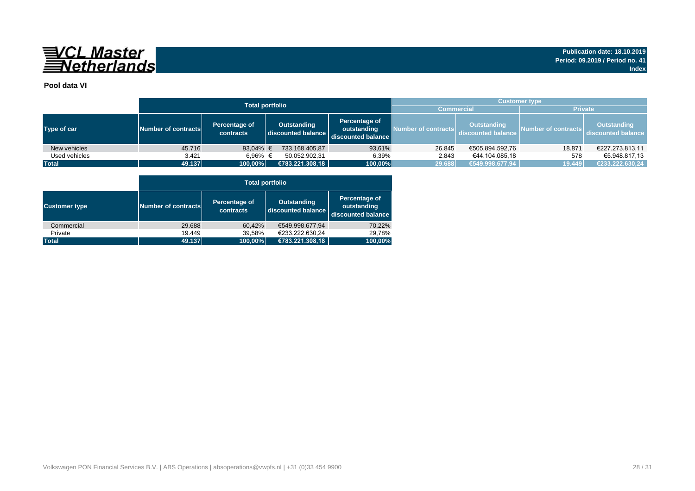

### **Pool data VI**

|               |                                                   | <b>Total portfolio</b> | <b>Customer type</b>              |                                                    |                     |                                          |                     |                                          |  |  |  |
|---------------|---------------------------------------------------|------------------------|-----------------------------------|----------------------------------------------------|---------------------|------------------------------------------|---------------------|------------------------------------------|--|--|--|
|               |                                                   |                        |                                   | <b>Commercial</b>                                  |                     | <b>Private</b>                           |                     |                                          |  |  |  |
| Type of car   | Percentage of<br>Number of contracts<br>contracts |                        | Outstanding<br>discounted balance | Percentage of<br>outstanding<br>discounted balance | Number of contracts | <b>Outstanding</b><br>discounted balance | Number of contracts | <b>Outstanding</b><br>discounted balance |  |  |  |
| New vehicles  | 45.716                                            | 93,04% $\in$           | 733.168.405,87                    | 93,61%                                             | 26.845              | €505.894.592,76                          | 18.871              | €227.273.813,11                          |  |  |  |
| Used vehicles | 3.421                                             | 6.96% €                | 50.052.902,31                     | 6,39%                                              | 2.843               | €44.104.085.18                           | 578                 | €5.948.817.13                            |  |  |  |
| <b>Total</b>  | 49.137                                            | 100,00%                | €783.221.308,18                   | 100,00%                                            | 29.688              | €549.998.677,94                          | 19.449              | €233.222.630,24                          |  |  |  |

|                      |                     | <b>Total portfolio</b>     |                                          |                                                    |  |  |  |  |  |  |  |  |  |
|----------------------|---------------------|----------------------------|------------------------------------------|----------------------------------------------------|--|--|--|--|--|--|--|--|--|
| <b>Customer type</b> | Number of contracts | Percentage of<br>contracts | <b>Outstanding</b><br>discounted balance | Percentage of<br>outstanding<br>discounted balance |  |  |  |  |  |  |  |  |  |
| Commercial           | 29.688              | 60.42%                     | €549.998.677.94                          | 70,22%                                             |  |  |  |  |  |  |  |  |  |
| Private              | 19.449              | 39,58%                     | €233.222.630.24                          | 29.78%                                             |  |  |  |  |  |  |  |  |  |
| <b>Total</b>         | 49.137              | 100,00%                    | €783.221.308,18                          | 100,00%                                            |  |  |  |  |  |  |  |  |  |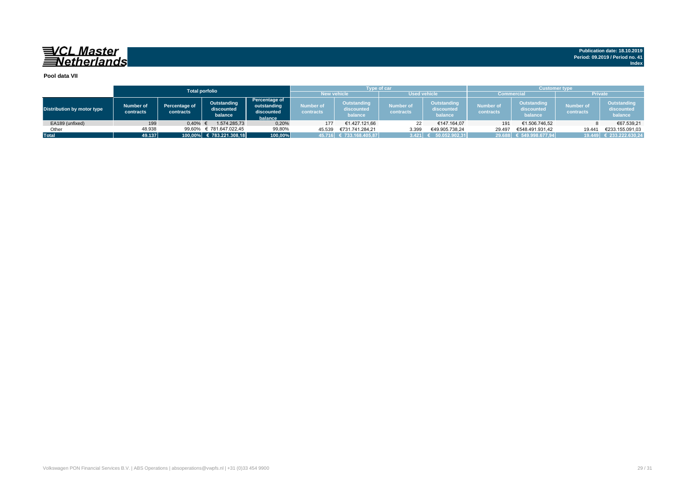**Publication date: 18.10.2019 Period: 09.2019 / Period no. 41 Index**

#### **Pool data VII**

|                            |                        |                                   | <b>Total porfolio</b>                |                                                       |                        | <b>Type of car</b>                                                                                                                             |                     |                                             | Customer type                 |                                      |                |                         |  |  |
|----------------------------|------------------------|-----------------------------------|--------------------------------------|-------------------------------------------------------|------------------------|------------------------------------------------------------------------------------------------------------------------------------------------|---------------------|---------------------------------------------|-------------------------------|--------------------------------------|----------------|-------------------------|--|--|
|                            |                        |                                   |                                      |                                                       | <b>New vehicle</b>     |                                                                                                                                                | <b>Used vehicle</b> |                                             | <b>Commercial</b>             |                                      | <b>Private</b> |                         |  |  |
| Distribution by motor type | Number of<br>contracts | <b>Percentage of</b><br>contracts | Outstanding<br>discounted<br>balance | Percentage of<br>outstanding<br>discounted<br>balance | Number of<br>contracts | <b>Outstanding</b><br>Outstanding<br><b>Number of</b><br>Number of<br>discounted<br>discounted<br>contracts<br>contracts<br>balance<br>balance |                     | <b>Outstanding</b><br>discounted<br>balance | <b>Number of</b><br>contracts | Outstanding<br>discounted<br>balance |                |                         |  |  |
| EA189 (unfixed)            | 199                    | 0.40%                             | 1.574.285.73                         | 0,20%                                                 | 177                    | €1.427.121.66                                                                                                                                  | 22                  | €147.164.07                                 | 191                           | €1.506.746,52                        |                | €67.539.21              |  |  |
| Other                      | 48.938                 | 99.60%                            | € 781.647.022,45                     | 99,80%                                                | 45.539                 | €731.741.284.21                                                                                                                                | 3.399               | €49.905.738.24                              | 29.497                        | €548.491.931.42                      | 19.441         | €233.155.091.03         |  |  |
| <b>Total</b>               | 49.137                 |                                   | 100,00% € 783.221.308,18             | 100,00%                                               |                        | 45.716 € 733.168.405,87                                                                                                                        | 3.421               | \$50.052.902.31]                            |                               | 29.688 € 549.998.677,94              |                | 19.449 € 233.222.630,24 |  |  |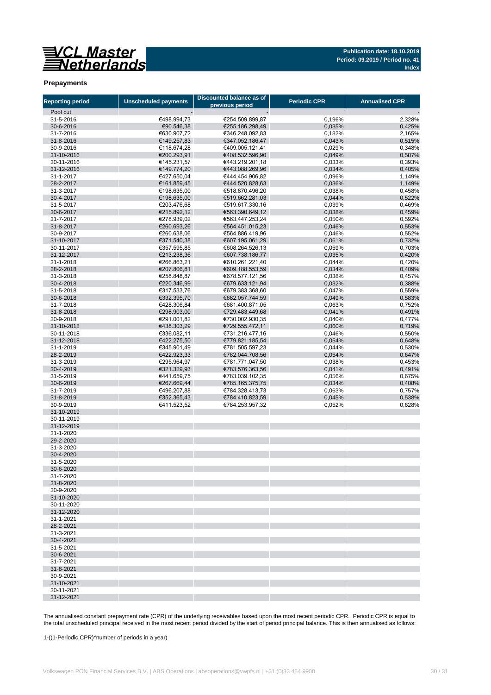

**Publication date: 18.10.2019 Period: 09.2019 / Period no. 41 Index**

#### **Prepayments**

| <b>Reporting period</b> | <b>Unscheduled payments</b> | Discounted balance as of<br>previous period | <b>Periodic CPR</b> | <b>Annualised CPR</b> |
|-------------------------|-----------------------------|---------------------------------------------|---------------------|-----------------------|
| Pool cut                |                             |                                             |                     |                       |
| 31-5-2016               | €498.994,73                 | €254.509.899,87                             | 0,196%              | 2,328%                |
| 30-6-2016               | €90.546,38                  | €255.186.298,49                             | 0,035%              | 0,425%                |
| 31-7-2016               | €630.907,72                 | €346.248.092,83                             | 0,182%              | 2,165%                |
| 31-8-2016               | €149.257,83                 | €347.052.186.47                             | 0,043%              | 0,515%                |
| 30-9-2016               | €118.674,28                 | €409.005.121.41                             | 0,029%              | 0,348%                |
| 31-10-2016              | €200.293,91                 | €408.532.596,90                             | 0,049%              | 0,587%                |
| 30-11-2016              | €145.231,57                 | €443.219.201,18                             | 0,033%              | 0,393%                |
| 31-12-2016              | €149.774,20                 | €443.088.269,96                             | 0,034%              | 0.405%                |
| 31-1-2017<br>28-2-2017  | €427.650,04<br>€161.859,45  | €444.454.906.82<br>€444.520.828.63          | 0,096%<br>0,036%    | 1,149%<br>1,149%      |
| 31-3-2017               | €198.635,00                 | €518.870.496.20                             | 0,038%              | 0,458%                |
| 30-4-2017               | €198.635,00                 | €519.662.281,03                             | 0,044%              | 0,522%                |
| 31-5-2017               | €203.476,68                 | €519.617.330,16                             | 0,039%              | 0,469%                |
| 30-6-2017               | €215.892,12                 | €563.390.649,12                             | 0,038%              | 0,459%                |
| 31-7-2017               | €278.939,02                 | €563.447.253,24                             | 0,050%              | 0,592%                |
| 31-8-2017               | €260.693,26                 | €564.451.015,23                             | 0,046%              | 0,553%                |
| 30-9-2017               | €260.638,06                 | €564.886.419,96                             | 0,046%              | 0,552%                |
| 31-10-2017              | €371.540,38                 | €607.195.061,29                             | 0,061%              | 0,732%                |
| 30-11-2017              | €357.595,85                 | €608.264.526,13                             | 0,059%              | 0,703%                |
| 31-12-2017              | €213.238,36                 | €607.738.186,77                             | 0,035%              | 0,420%                |
| 31-1-2018               | €266.863.21                 | €610.261.221,40                             | 0,044%              | 0,420%                |
| 28-2-2018               | €207.806,81                 | €609.188.553.59                             | 0,034%              | 0,409%                |
| 31-3-2018               | €258.848,87                 | €678.577.121,56<br>€679.633.121,94          | 0,038%              | 0,457%<br>0,388%      |
| 30-4-2018<br>31-5-2018  | €220.346,99<br>€317.533,76  | €679.383.368,60                             | 0,032%<br>0,047%    | 0,559%                |
| 30-6-2018               | €332.395,70                 | €682.057.744,59                             | 0,049%              | 0,583%                |
| 31-7-2018               | €428.306,84                 | €681.400.871,05                             | 0,063%              | 0,752%                |
| 31-8-2018               | €298.903,00                 | €729.483.449,68                             | 0,041%              | 0.491%                |
| 30-9-2018               | €291.001,82                 | €730.002.930.35                             | 0,040%              | 0,477%                |
| 31-10-2018              | €438.303,29                 | €729.555.472,11                             | 0,060%              | 0,719%                |
| 30-11-2018              | €336.082,11                 | €731.216.477.16                             | 0,046%              | 0,550%                |
| 31-12-2018              | €422.275,50                 | €779.821.185,54                             | 0,054%              | 0,648%                |
| 31-1-2019               | €345.901,49                 | €781.505.597,23                             | 0,044%              | 0,530%                |
| 28-2-2019               | €422.923,33                 | €782.044.708,56                             | 0,054%              | 0,647%                |
| 31-3-2019               | €295.964,97                 | €781.771.047,50                             | 0,038%              | 0,453%                |
| 30-4-2019               | €321.329,93                 | €783.576.363,56                             | 0,041%              | 0,491%                |
| 31-5-2019<br>30-6-2019  | €441.659,75<br>€267.669,44  | €783.039.102,35                             | 0,056%              | 0,675%                |
| 31-7-2019               | €496.207,88                 | €785.165.375,75<br>€784.328.413,73          | 0,034%<br>0,063%    | 0,408%<br>0,757%      |
| 31-8-2019               | €352.365,43                 | €784.410.823,59                             | 0,045%              | 0,538%                |
| 30-9-2019               | €411.523,52                 | €784.253.957,32                             | 0,052%              | 0,628%                |
| 31-10-2019              |                             |                                             |                     |                       |
| 30-11-2019              |                             |                                             |                     |                       |
| 31-12-2019              |                             |                                             |                     |                       |
| 31-1-2020               |                             |                                             |                     |                       |
| 29-2-2020               |                             |                                             |                     |                       |
| 31-3-2020               |                             |                                             |                     |                       |
| 30-4-2020               |                             |                                             |                     |                       |
| 31-5-2020               |                             |                                             |                     |                       |
| 30-6-2020<br>31-7-2020  |                             |                                             |                     |                       |
| 31-8-2020               |                             |                                             |                     |                       |
| 30-9-2020               |                             |                                             |                     |                       |
| 31-10-2020              |                             |                                             |                     |                       |
| 30-11-2020              |                             |                                             |                     |                       |
| 31-12-2020              |                             |                                             |                     |                       |
| 31-1-2021               |                             |                                             |                     |                       |
| 28-2-2021               |                             |                                             |                     |                       |
| 31-3-2021               |                             |                                             |                     |                       |
| 30-4-2021               |                             |                                             |                     |                       |
| 31-5-2021               |                             |                                             |                     |                       |
| 30-6-2021               |                             |                                             |                     |                       |
| 31-7-2021<br>31-8-2021  |                             |                                             |                     |                       |
| 30-9-2021               |                             |                                             |                     |                       |
| 31-10-2021              |                             |                                             |                     |                       |
| 30-11-2021              |                             |                                             |                     |                       |
| 31-12-2021              |                             |                                             |                     |                       |

The annualised constant prepayment rate (CPR) of the underlying receivables based upon the most recent periodic CPR. Periodic CPR is equal to the total unscheduled principal received in the most recent period divided by the start of period principal balance. This is then annualised as follows:

1-((1-Periodic CPR)^number of periods in a year)